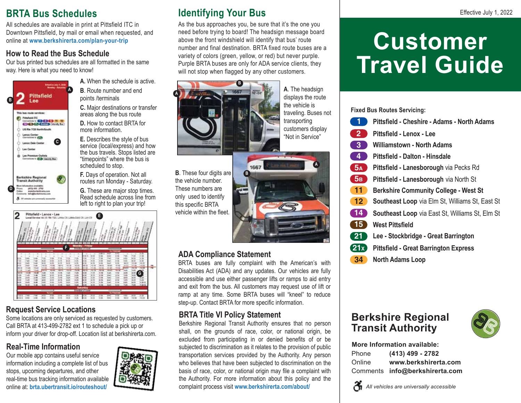# **BRTA Bus Schedules**

All schedules are available in print at Pittsfield ITC in Downtown Pittsfield, by mail or email when requested, and online at **www.berkshirerta.com/plan-your-trip**

# **How to Read the Bus Schedule**

Our bus printed bus schedules are all formatted in the same way. Here is what you need to know!



**A.** When the schedule is active.

**B**. Route number and end points /terminals

**C.** Major destinations or transfer areas along the bus route

**D.** How to contact BRTA for more information.

**E.** Describes the style of bus service (local/express) and how the bus travels. Stops listed are "timepoints" where the bus is scheduled to stop.

**F.** Days of operation. Not all routes run Monday - Saturday.

**G.** These are major stop times. Read schedule across line from left to right to plan your trip!



# **Request Service Locations**

Some locations are only serviced as requested by customers. Call BRTA at 413-499-2782 ext 1 to schedule a pick up or inform your driver for drop-off. Location list at berkshirerta.com.

# **Real-Time Information**

Our mobile app contains useful service information including a complete list of bus stops, upcoming departures, and other real-time bus tracking information available online at: **brta.ubertransit.io/routeshout/**



# **Identifying Your Bus**

As the bus approaches you, be sure that it's the one you need before trying to board! The headsign message board above the front windshield will identify that bus' route number and final destination. BRTA fixed route buses are a variety of colors (green, yellow, or red) but never purple. Purple BRTA buses are only for ADA service clients, they will not stop when flagged by any other customers.



**A**. The headsign displays the route the vehicle is traveling. Buses not transporting customers display "Not in Service"

**B**. These four digits are the vehicle number. These numbers are only used to identify this specific BRTA vehicle within the fleet.



# **ADA Compliance Statement**

BRTA buses are fully complaint with the American's with Disabilities Act (ADA) and any updates. Our vehicles are fully accessible and use either passenger lifts or ramps to aid entry and exit from the bus. All customers may request use of lift or ramp at any time. Some BRTA buses will "kneel" to reduce step-up. Contact BRTA for more specific information.

# **BRTA Title VI Policy Statement**

Berkshire Regional Transit Authority ensures that no person shall, on the grounds of race, color, or national origin, be excluded from participating in or denied benefits of or be subjected to discrimination as it relates to the provision of public transportation services provided by the Authority. Any person who believes that have been subjected to discrimination on the basis of race, color, or national origin may file a complaint with the Authority. For more information about this policy and the complaint process visit **www.berkshirerta.com/about/**

# **Customer Travel Guide**

**Fixed Bus Routes Servicing:**

- **1 Pittsfield Cheshire Adams North Adams**
- **2 Pittsfield Lenox Lee**
- **3 Williamstown North Adams**
- **4 Pittsfield Dalton Hinsdale**
- **5A Pittsfield Lanesborough** via Pecks Rd
- **5B Pittsfield Lanesborough** via North St
- **11 Berkshire Community College West St**
- **12 Southeast Loop** via Elm St, Williams St, East St
- **14 Southeast Loop** via East St, Williams St, Elm St
- **15 West Pittsfield**
- **21 Lee Stockbridge Great Barrington**
- **21X Pittsfield Great Barrington Express**
- **34 North Adams Loop**

# **Berkshire Regional Transit Authority**



 **Arrive ITC**

Effective July 1, 2022

**More Information available:**

Phone **Online** Comments **info@berkshirerta.com (413) 499 - 2782 www.berkshirerta.com**

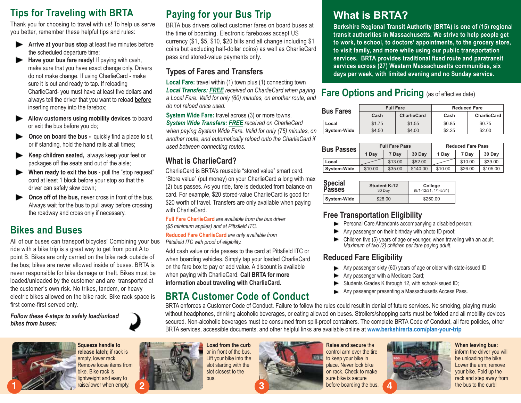# **Tips for Traveling with BRTA**

Thank you for choosing to travel with us! To help us serve you better, remember these helpful tips and rules:

- **Arrive at your bus stop** at least five minutes before the scheduled departure time;
- Have your bus fare ready! If paying with cash, make sure that you have exact change only. Drivers do not make change. If using CharlieCard - make sure it is out and ready to tap. If reloading CharlieCard- you must have at least five dollars and always tell the driver that you want to reload **before** inserting money into the farebox;
- **Allow customers using mobility devices** to board or exit the bus before you do;
- **Diece on board the bus quickly find a place to sit,** or if standing, hold the hand rails at all times;
- **Keep children seated,** always keep your feet or packages off the seats and out of the aisle;
- **When ready to exit the bus** pull the "stop request" cord at least 1 block before your stop so that the driver can safely slow down;
- **Demon Once off of the bus, never cross in front of the bus.** Always wait for the bus to pull away before crossing the roadway and cross only if necessary.

# **Bikes and Buses**

All of our buses can transport bicycles! Combining your bus ride with a bike trip is a great way to get from point A to point B. Bikes are only carried on the bike rack outside of the bus; bikes are never allowed inside of buses. BRTA is never responsible for bike damage or theft. Bikes must be loaded/unloaded by the customer and are transported at the customer's own risk. No trikes, tandem, or heavy electric bikes allowed on the bike rack. Bike rack space is first come-first served only.

#### *Follow these 4-steps to safely load/unload bikes from buses:*



# **Paying for your Bus Trip**

BRTA bus drivers collect customer fares on board buses at the time of boarding. Electronic fareboxes accept US currency (\$1, \$5, \$10, \$20 bills and all change including \$1 coins but excluding half-dollar coins) as well as CharlieCard pass and stored-value payments only.

# **Types of Fares and Transfers**

**Local Fare:** travel within (1) town plus (1) connecting town *Local Transfers: FREE received on CharlieCard when paying a Local Fare. Valid for only (60) minutes, on another route, and do not reload once used.* 

**System Wide Fare:** travel across (3) or more towns. *System Wide Transfers: FREE received on CharlieCard when paying System Wide Fare. Valid for only (75) minutes, on another route, and automatically reload onto the CharlieCard if used between connecting routes.* 

# **What is CharlieCard?**

CharlieCard is BRTA's reusable "stored value" smart card. "Store value" (put money) on your CharlieCard a long with max (2) bus passes. As you ride, fare is deducted from balance on card. For example, \$20 stored-value CharlieCard is good for \$20 worth of travel. Transfers are only available when paying with CharlieCard.

**Full Fare CharlieCard** *are available from the bus driver (\$5 minimum applies) and at Pittsfield ITC*.

**Reduced Fare CharlieCard** *are only available from Pittsfield ITC with proof of eligibility.*

Add cash value or ride passes to the card at Pittsfield ITC or when boarding vehicles. Simply tap your loaded CharlieCard on the fare box to pay or add value. A discount is available when paying with CharlieCard. **Call BRTA for more information about traveling with CharlieCard.**

# **BRTA Customer Code of Conduct**

# **What is BRTA?**

**Berkshire Regional Transit Authority (BRTA) is one of (15) regional transit authorities in Massachusetts. We strive to help people get to work, to school, to doctors' appointments, to the grocery store, to visit family, and more while using our public transportation services. BRTA provides traditional fixed route and paratransit services across (27) Western Massachusetts communities, six days per week, with limited evening and no Sunday service.** 

# **Fare Options and Pricing (as of effective date)**

| <b>Bus Fares</b> |             |        | <b>Full Fare</b>   | <b>Reduced Fare</b> |                    |  |  |  |
|------------------|-------------|--------|--------------------|---------------------|--------------------|--|--|--|
|                  |             | Cash   | <b>CharlieCard</b> | Cash                | <b>CharlieCard</b> |  |  |  |
|                  | Local       | \$1.75 | \$1.55             | \$0.85              | \$0.75             |  |  |  |
|                  | System-Wide | \$4.50 | \$4.00             | \$2.25              | \$2.00             |  |  |  |

| <b>Bus Passes</b> |         | <b>Full Fare Pass</b> |          | <b>Reduced Fare Pass</b> |         |          |  |  |
|-------------------|---------|-----------------------|----------|--------------------------|---------|----------|--|--|
|                   | 1 Dav   | 7 Dav                 | 30 Day   | 1 Dav                    | 7 Dav   | 30 Dav   |  |  |
| Local             |         | \$13.00               | \$52.00  |                          | \$10.00 | \$39.00  |  |  |
| System-Wide       | \$10.00 | \$35.00               | \$140.00 | \$10.00                  | \$26.00 | \$105.00 |  |  |

| <b>Special</b><br>Passes | <b>Student K-12</b><br>30 Day | College<br>$(8/1 - 12/31; 1/1 - 5/31)$ |
|--------------------------|-------------------------------|----------------------------------------|
| System-Wide              | \$26.00                       | \$250.00                               |

# **Free Transportation Eligibility**

- **Personal Care Attendants accompanying a disabled person;**
- Any passenger on their birthday with photo ID proof:
- ь Children five (5) years of age or younger, when traveling with an adult. *Maximum of two (2) children per fare paying adult.*

### **Reduced Fare Eligibility**

- Any passenger sixty (60) years of age or older with state-issued ID
- Any passenger with a Medicare Card;
- Students Grades K through 12, with school-issued ID;
- Any passenger presenting a Massachusetts Access Pass.

BRTA enforces a Customer Code of Conduct. Failure to follow the rules could result in denial of future services. No smoking, playing music without headphones, drinking alcoholic beverages, or eating allowed on buses. Strollers/shopping carts must be folded and all mobility devices secured. Non-alcoholic beverages must be consumed from spill-proof containers. The complete BRTA Code of Conduct, all fare policies, other BRTA services, accessible documents, and other helpful links are available online at **www.berkshirerta.com/plan-your-trip** 



**Squeeze handle to release latch;** if rack is empty, lower rack. Remove loose items from bike. Bike rack is lightweight and easy to raise/lower when empty.



slot starting with the slot closest to the bus.



**Raise and secure** the control arm over the tire to keep your bike in place. Never lock bike on rack. Check to make sure bike is secure before boarding the bus.



**When leaving bus:**  inform the driver you will be unloading the bike. Lower the arm; remove your bike. Fold up the rack and step away from

**Load from the curb** or in front of the bus. Lift your bike into the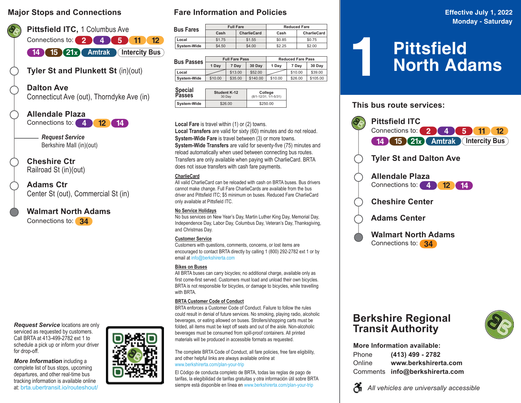### **Major Stops and Connections Fare Information and Policies**



# **Tyler St and Plunkett St** (in)(out)

### **Dalton Ave**

Connecticut Ave (out), Thorndyke Ave (in)

## **Allendale Plaza**

Connections to: **4 12 14**

*Request Service*  Berkshire Mall (in)(out)

**Cheshire Ctr**  Railroad St (in)(out)

**Adams Ctr**  Center St (out), Commercial St (in)

**34** Connections to: **Walmart North Adams**

*Request Service* locations are only serviced as requested by customers. Call BRTA at 413-499-2782 ext 1 to schedule a pick up or inform your driver for drop-off.

*More Information* including a complete list of bus stops, upcoming departures, and other real-time bus tracking information is available online at: brta.ubertransit.io/routeshout/



| <b>Bus Fares</b> |        | <b>Full Fare</b>   | <b>Reduced Fare</b> |             |  |  |  |
|------------------|--------|--------------------|---------------------|-------------|--|--|--|
|                  | Cash   | <b>CharlieCard</b> | Cash                | CharlieCard |  |  |  |
| Local            | \$1.75 | \$1.55             | \$0.85              | \$0.75      |  |  |  |
| System-Wide      | \$4.50 | \$4.00             | \$2.25              | \$2.00      |  |  |  |

| <b>Bus Passes</b> |         | <b>Full Fare Pass</b> |          | <b>Reduced Fare Pass</b> |         |          |  |  |
|-------------------|---------|-----------------------|----------|--------------------------|---------|----------|--|--|
|                   | 1 Dav   | 7 Dav                 | 30 Dav   | 1 Dav                    | 7 Dav   | 30 Dav   |  |  |
| Local             |         | \$13.00               | \$52.00  |                          | \$10.00 | \$39.00  |  |  |
| System-Wide       | \$10.00 | \$35.00               | \$140.00 | \$10.00                  | \$26.00 | \$105.00 |  |  |

| Special<br>Passes  | <b>Student K-12</b><br>30 Day | College<br>(8/1-12/31; 1/1-5/31) |
|--------------------|-------------------------------|----------------------------------|
| <b>System-Wide</b> | \$26.00                       | \$250.00                         |

**Local Fare** is travel within (1) or (2) towns.

**Local Transfers** are valid for sixty (60) minutes and do not reload. **System-Wide Fare** is travel between (3) or more towns. **System-Wide Transfers** are valid for seventy-five (75) minutes and reload automatically when used between connecting bus routes. Transfers are only available when paying with CharlieCard. BRTA does not issue transfers with cash fare payments.

#### **CharlieCard**

All valid CharlieCard can be reloaded with cash on BRTA buses. Bus drivers cannot make change. Full Fare CharlieCards are available from the bus driver and Pittsfield ITC; \$5 minimum on buses. Reduced Fare CharlieCard only available at Pittsfield ITC.

#### **No Service Holidays**

No bus services on New Year's Day, Martin Luther King Day, Memorial Day, Independence Day, Labor Day, Columbus Day, Veteran's Day, Thanksgiving, and Christmas Day.

#### **Customer Service**

Customers with questions, comments, concerns, or lost items are encouraged to contact BRTA directly by calling 1 (800) 292-2782 ext 1 or by email at info@berkshirerta.com

#### **Bikes on Buses**

All BRTA buses can carry bicycles; no additional charge, available only as first come-first served. Customers must load and unload their own bicycles. BRTA is not responsible for bicycles, or damage to bicycles, while travelling with BRTA.

#### **BRTA Customer Code of Conduct**

BRTA enforces a Customer Code of Conduct. Failure to follow the rules could result in denial of future services. No smoking, playing radio, alcoholic beverages, or eating allowed on buses. Strollers/shopping carts must be folded, all items must be kept off seats and out of the aisle. Non-alcoholic beverages must be consumed from spill-proof containers. All printed materials will be produced in accessible formats as requested.

The complete BRTA Code of Conduct, all fare policies, free fare eligibility, and other helpful links are always available online at www.berkshirerta.com/plan-your-trip

El Código de conducta completo de BRTA, todas las reglas de pago de tarifas, la elegibilidad de tarifas gratuitas y otra información útil sobre BRTA siempre está disponible en línea en www.berkshirerta.com/plan-your-trip

### **Effective July 1, 2022 Monday - Saturday**

# **1** Pittsfield<br>North Adams **Pittsfield North Adams**

**This bus route services:**



# **Berkshire Regional Transit Authority**



**More Information available:** Phone **(413) 499 - 2782**

Online Comments **info@berkshirerta.com www.berkshirerta.com**

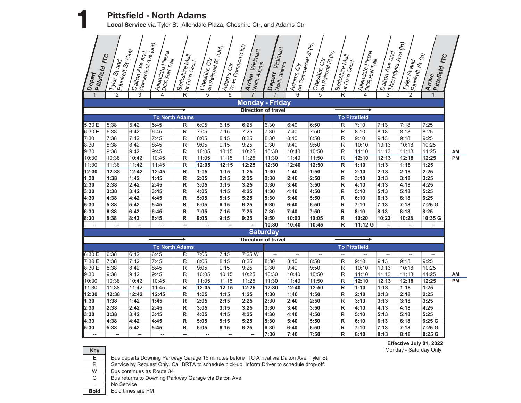| Daiton Ave and<br><sup> </sup> Thorndyke Ave (in)<br>Adams Ctr<br><sup>Ion Commercial St (in)</sup><br><b>Daiton Ave and<br/>Ponnecticut Ave (out)</b><br>Adams Ctr<br>Pown Common (Out)<br>$\rm O_{\rm 40}$<br>Depart Walmart<br>Tyler St and<br>Plunkett St (Out)<br><b>Arrive Walmart</b><br>$\left.\begin{array}{l} \textit{Cheshir} \ \textit{On} \ \textit{Shir} \ \textit{Orr} \ \textit{In} \ \textit{Railr} \ \textit{aq} \ \textit{St} \ (\textit{In}) \end{array} \right.$<br> Allendale Plaza<br> DCR Rail Trail<br> Allendale Plaza<br> DCR Rail Trail<br>Tyler St and<br>Plunkett St (In)<br>Berkshire Mail<br>Pat Food Court<br>Depart<br>Pittsfield ITC<br>Arrive<br>Pittsfield ITC<br>$\left\vert \frac{\mathsf{B} \mathsf{er}_{\mathsf{K}} \mathsf{s}_{\mathsf{h}}_{\mathsf{f} \mathsf{r}}}{\mathsf{B} \mathsf{er}_{\mathsf{f}} \mathsf{G}_{\mathsf{f} \mathsf{f}}} \mathsf{M}_{\mathsf{a} \mathsf{f} \mathsf{f}} \right\vert$ at Food Court<br>Cheshire Ctr<br> on Railroad St<br> <br>2<br>6<br>R<br>3<br>R<br>6<br>5<br>3<br>2<br>4<br>-5<br>4<br><b>Monday - Friday</b><br><b>Direction of travel</b><br>$\rightarrow$<br><b>To North Adams</b><br><b>To Pittsfield</b><br>5:30E<br>5:38<br>5:42<br>5:45<br>6:05<br>6:15<br>6:25<br>6:30<br>6:40<br>6:50<br>R<br>7:10<br>7:13<br>7:18<br>7:25<br>R<br>6:38<br>6:30 E<br>6:42<br>R<br>7:05<br>7:15<br>7:25<br>7:30<br>7:50<br>R<br>8:10<br>8:13<br>8:18<br>8:25<br>6:45<br>7:40<br>8:30<br>7:30<br>7:38<br>7:42<br>R<br>8:05<br>8:15<br>8:25<br>8:40<br>8:50<br>R<br>9:10<br>9:13<br>9:18<br>9:25<br>7:45<br>8:30<br>8:38<br>8:42<br>R<br>9:05<br>9:15<br>9:25<br>9:30<br>9:50<br>R.<br>10:10<br>10:13<br>10:18<br>10:25<br>8:45<br>9:40<br>9:38<br>9:42<br>9:45<br>R<br>10:05<br>10:15<br>10:25<br>10:30<br>10:40<br>10:50<br>R<br>11:10<br>11:18<br>11:25<br>11:13<br>R.<br>12:10<br>12:25<br>10:38<br>10:42<br>10:45<br>R<br>11:15<br>11:25<br>11:30<br>11:50<br>12:13<br>12:18<br>11:05<br>11:40<br>12:05<br>12:30<br>12:40<br>$\overline{\mathsf{R}}$<br>11:38<br>11:42<br>11:45<br>$\mathsf{R}$<br>12:15<br>12:25<br>12:50<br>1:10<br>1:13<br>1:18<br>1:25<br>12:30<br>12:38<br>12:42<br>12:45<br>R<br>1:05<br>1:25<br>1:30<br>R<br>2:10<br>2:18<br>2:25<br>1:15<br>1:40<br>1:50<br>2:13<br>2:30<br>1:38<br>1:42<br>R<br>2:05<br>2:15<br>2:25<br>2:40<br>2:50<br>R<br>3:10<br>3:18<br>3:25<br>1:30<br>1:45<br>3:13<br>2:30<br>2:38<br>2:42<br>R<br>3:05<br>3:15<br>3:30<br>R<br>4:18<br>4:25<br>2:45<br>3:25<br>3:40<br>3:50<br>4:10<br>4:13<br>5:25<br>3:30<br>3:42<br>3:45<br>${\sf R}$<br>4:05<br>4:30<br>4:40<br>4:50<br>R<br>5:10<br>5:18<br>3:38<br>4:15<br>4:25<br>5:13<br>4:30<br>R<br>5:05<br>5:15<br>5:30<br>R<br>6:10<br>6:18<br>6:25<br>4:38<br>4:42<br>4:45<br>5:25<br>5:40<br>5:50<br>6:13<br>7:25 G<br>5:42<br>5:45<br>6:05<br>6:30<br>6:40<br>6:50<br>R<br>7:10<br>7:13<br>7:18<br>5:38<br>R<br>6:15<br>6:25<br>6:38<br>6:42<br>R<br>7:05<br>7:15<br>7:30<br>R<br>8:10<br>8:13<br>8:18<br>8:25<br>6:45<br>7:25<br>7:40<br>7:50<br>8:38<br>8:45<br>9:05<br>9:15<br>9:25<br>9:50<br>10:00<br>10:05<br>R<br>10:20<br>10:23<br>10:28<br>10:35 G<br>8:42<br>R<br>10:30<br>11:12 G<br>10:40<br>10:45<br>R<br>$\sim$<br>$\overline{\phantom{a}}$<br>$\sim$<br>$\sim$<br>$\overline{\phantom{a}}$<br>$\overline{\phantom{a}}$<br>$\overline{\phantom{a}}$<br>$\overline{\phantom{a}}$<br>$\overline{\phantom{a}}$<br>$\sim$<br>$\sim$<br><b>Saturday</b><br><b>Direction of travel</b><br>٠<br><b>To North Adams</b><br><b>To Pittsfield</b><br>6:38<br>6:42<br>6:45<br>7:05<br>7:15<br>7:25W<br>6:30 E<br>R<br>$\overline{\phantom{a}}$<br>$\overline{\phantom{a}}$<br>$\overline{\phantom{a}}$<br>$\sim$<br>$\overline{\phantom{a}}$<br>$\overline{\phantom{a}}$<br>$\overline{\phantom{a}}$<br>$\overline{\phantom{a}}$<br>7:38<br>9:10<br>9:13<br>9:18<br>9:25<br>7:30 E<br>7:42<br>7:45<br>8:05<br>8:15<br>8:25<br>8:30<br>8:40<br>8:50<br>R.<br>R<br>8:38<br>10:25<br>8:30 E<br>8:42<br>8:45<br>9:05<br>9:15<br>9:25<br>9:30<br>9:40<br>9:50<br>R<br>10:10<br>10:13<br>10:18<br>R<br>10:15<br>10:25<br>10:30<br>11:25<br>9:38<br>9:42<br>9:45<br>10:05<br>10:40<br>10:50<br>R<br>11:10<br>R<br>11:13<br>11:18<br>12:25<br>10:38<br>10:42<br>$\mathsf{R}$<br>12:10<br>12:13<br>12:18<br>10:45<br>R<br>11:05<br>11:15<br>11:25<br>11:30<br>11:50<br>10:30<br>11:40<br>12:15<br>12:05<br>12:25<br>12:30<br>12:40<br>12:50<br>$\overline{\mathsf{R}}$<br>11:38<br>11:42<br>11:45<br>$\mathsf{R}$<br>1:25<br>1:10<br>1:13<br>1:18<br>12:38<br>12:42<br>12:45<br>2:25<br>1:05<br>1:15<br>1:25<br>1:30<br>1:40<br>1:50<br>R<br>2:13<br>2:18<br>R<br>2:10<br>2:05<br>2:15<br>2:25<br>2:30<br>2:40<br>R<br>3:10<br>3:18<br>3:25<br>1:30<br>1:38<br>1:42<br>1:45<br>R<br>2:50<br>3:13<br>3:30<br>4:25<br>2:30<br>2:42<br>2:45<br>3:05<br>3:15<br>3:25<br>3:40<br>3:50<br>R<br>4:10<br>4:18<br>2:38<br>R<br>4:13<br>3:42<br>$\mathsf{R}$<br>4:05<br>4:30<br>R<br>5:10<br>5:25<br>3:30<br>3:38<br>3:45<br>4:15<br>4:25<br>4:40<br>4:50<br>5:13<br>5:18<br>5:05<br>5:30<br>5:40<br>R<br>6:18<br>6:25 G<br>4:30<br>4:38<br>4:42<br>4:45<br>5:15<br>5:25<br>5:50<br>6:10<br>6:13<br>R<br>7:25 G<br>5:38<br>5:42<br>5:45<br>R<br>6:05<br>6:15<br>6:25<br>6:30<br>6:40<br>6:50<br>R<br>7:10<br>7:13<br>7:18<br>7:30<br>7:40<br>7:50<br>R<br>8:10<br>8:13<br>8:18<br>$\overline{\phantom{a}}$<br>$\sim$<br>$\overline{\phantom{a}}$<br>$\overline{\phantom{a}}$<br>$\sim$<br>$\sim$<br>$\sim$<br>$\sim$ | 1     |  | <b>Pittsfield - North Adams</b> |  | Local Service via Tyler St, Allendale Plaza, Cheshire Ctr, and Adams Ctr |  |  |  |       |
|--------------------------------------------------------------------------------------------------------------------------------------------------------------------------------------------------------------------------------------------------------------------------------------------------------------------------------------------------------------------------------------------------------------------------------------------------------------------------------------------------------------------------------------------------------------------------------------------------------------------------------------------------------------------------------------------------------------------------------------------------------------------------------------------------------------------------------------------------------------------------------------------------------------------------------------------------------------------------------------------------------------------------------------------------------------------------------------------------------------------------------------------------------------------------------------------------------------------------------------------------------------------------------------------------------------------------------------------------------------------------------------------------------------------------------------------------------------------------------------------------------------------------------------------------------------------------------------------------------------------------------------------------------------------------------------------------------------------------------------------------------------------------------------------------------------------------------------------------------------------------------------------------------------------------------------------------------------------------------------------------------------------------------------------------------------------------------------------------------------------------------------------------------------------------------------------------------------------------------------------------------------------------------------------------------------------------------------------------------------------------------------------------------------------------------------------------------------------------------------------------------------------------------------------------------------------------------------------------------------------------------------------------------------------------------------------------------------------------------------------------------------------------------------------------------------------------------------------------------------------------------------------------------------------------------------------------------------------------------------------------------------------------------------------------------------------------------------------------------------------------------------------------------------------------------------------------------------------------------------------------------------------------------------------------------------------------------------------------------------------------------------------------------------------------------------------------------------------------------------------------------------------------------------------------------------------------------------------------------------------------------------------------------------------------------------------------------------------------------------------------------------------------------------------------------------------------------------------------------------------------------------------------------------------------------------------------------------------------------------------------------------------------------------------------------------------------------------------------------------------------------------------------------------------------------------------------------------------------------------------------------------------------------------------------------------------------------------------------------------------------------------------------------------------------------------------------------------------------------------------------------------------------------------------------------------------------------------------------------------------------------------------------------------------------------------------------------------------------------------------------------------------------------------------------------------------------------------------------------------------------------------------------------------------------------------------------------------------------------------------------------------------------------------------------------------------------------------------------------------------------------------------------------------------------------------------------------------------------------------------------------------------------------------------------------------------------------------------------------------------------------------------------------------------------------------------------------------------------------|-------|--|---------------------------------|--|--------------------------------------------------------------------------|--|--|--|-------|
|                                                                                                                                                                                                                                                                                                                                                                                                                                                                                                                                                                                                                                                                                                                                                                                                                                                                                                                                                                                                                                                                                                                                                                                                                                                                                                                                                                                                                                                                                                                                                                                                                                                                                                                                                                                                                                                                                                                                                                                                                                                                                                                                                                                                                                                                                                                                                                                                                                                                                                                                                                                                                                                                                                                                                                                                                                                                                                                                                                                                                                                                                                                                                                                                                                                                                                                                                                                                                                                                                                                                                                                                                                                                                                                                                                                                                                                                                                                                                                                                                                                                                                                                                                                                                                                                                                                                                                                                                                                                                                                                                                                                                                                                                                                                                                                                                                                                                                                                                                                                                                                                                                                                                                                                                                                                                                                                                                                                                                                                                |       |  |                                 |  |                                                                          |  |  |  |       |
|                                                                                                                                                                                                                                                                                                                                                                                                                                                                                                                                                                                                                                                                                                                                                                                                                                                                                                                                                                                                                                                                                                                                                                                                                                                                                                                                                                                                                                                                                                                                                                                                                                                                                                                                                                                                                                                                                                                                                                                                                                                                                                                                                                                                                                                                                                                                                                                                                                                                                                                                                                                                                                                                                                                                                                                                                                                                                                                                                                                                                                                                                                                                                                                                                                                                                                                                                                                                                                                                                                                                                                                                                                                                                                                                                                                                                                                                                                                                                                                                                                                                                                                                                                                                                                                                                                                                                                                                                                                                                                                                                                                                                                                                                                                                                                                                                                                                                                                                                                                                                                                                                                                                                                                                                                                                                                                                                                                                                                                                                |       |  |                                 |  |                                                                          |  |  |  |       |
|                                                                                                                                                                                                                                                                                                                                                                                                                                                                                                                                                                                                                                                                                                                                                                                                                                                                                                                                                                                                                                                                                                                                                                                                                                                                                                                                                                                                                                                                                                                                                                                                                                                                                                                                                                                                                                                                                                                                                                                                                                                                                                                                                                                                                                                                                                                                                                                                                                                                                                                                                                                                                                                                                                                                                                                                                                                                                                                                                                                                                                                                                                                                                                                                                                                                                                                                                                                                                                                                                                                                                                                                                                                                                                                                                                                                                                                                                                                                                                                                                                                                                                                                                                                                                                                                                                                                                                                                                                                                                                                                                                                                                                                                                                                                                                                                                                                                                                                                                                                                                                                                                                                                                                                                                                                                                                                                                                                                                                                                                |       |  |                                 |  |                                                                          |  |  |  |       |
|                                                                                                                                                                                                                                                                                                                                                                                                                                                                                                                                                                                                                                                                                                                                                                                                                                                                                                                                                                                                                                                                                                                                                                                                                                                                                                                                                                                                                                                                                                                                                                                                                                                                                                                                                                                                                                                                                                                                                                                                                                                                                                                                                                                                                                                                                                                                                                                                                                                                                                                                                                                                                                                                                                                                                                                                                                                                                                                                                                                                                                                                                                                                                                                                                                                                                                                                                                                                                                                                                                                                                                                                                                                                                                                                                                                                                                                                                                                                                                                                                                                                                                                                                                                                                                                                                                                                                                                                                                                                                                                                                                                                                                                                                                                                                                                                                                                                                                                                                                                                                                                                                                                                                                                                                                                                                                                                                                                                                                                                                |       |  |                                 |  |                                                                          |  |  |  |       |
|                                                                                                                                                                                                                                                                                                                                                                                                                                                                                                                                                                                                                                                                                                                                                                                                                                                                                                                                                                                                                                                                                                                                                                                                                                                                                                                                                                                                                                                                                                                                                                                                                                                                                                                                                                                                                                                                                                                                                                                                                                                                                                                                                                                                                                                                                                                                                                                                                                                                                                                                                                                                                                                                                                                                                                                                                                                                                                                                                                                                                                                                                                                                                                                                                                                                                                                                                                                                                                                                                                                                                                                                                                                                                                                                                                                                                                                                                                                                                                                                                                                                                                                                                                                                                                                                                                                                                                                                                                                                                                                                                                                                                                                                                                                                                                                                                                                                                                                                                                                                                                                                                                                                                                                                                                                                                                                                                                                                                                                                                |       |  |                                 |  |                                                                          |  |  |  |       |
|                                                                                                                                                                                                                                                                                                                                                                                                                                                                                                                                                                                                                                                                                                                                                                                                                                                                                                                                                                                                                                                                                                                                                                                                                                                                                                                                                                                                                                                                                                                                                                                                                                                                                                                                                                                                                                                                                                                                                                                                                                                                                                                                                                                                                                                                                                                                                                                                                                                                                                                                                                                                                                                                                                                                                                                                                                                                                                                                                                                                                                                                                                                                                                                                                                                                                                                                                                                                                                                                                                                                                                                                                                                                                                                                                                                                                                                                                                                                                                                                                                                                                                                                                                                                                                                                                                                                                                                                                                                                                                                                                                                                                                                                                                                                                                                                                                                                                                                                                                                                                                                                                                                                                                                                                                                                                                                                                                                                                                                                                |       |  |                                 |  |                                                                          |  |  |  |       |
|                                                                                                                                                                                                                                                                                                                                                                                                                                                                                                                                                                                                                                                                                                                                                                                                                                                                                                                                                                                                                                                                                                                                                                                                                                                                                                                                                                                                                                                                                                                                                                                                                                                                                                                                                                                                                                                                                                                                                                                                                                                                                                                                                                                                                                                                                                                                                                                                                                                                                                                                                                                                                                                                                                                                                                                                                                                                                                                                                                                                                                                                                                                                                                                                                                                                                                                                                                                                                                                                                                                                                                                                                                                                                                                                                                                                                                                                                                                                                                                                                                                                                                                                                                                                                                                                                                                                                                                                                                                                                                                                                                                                                                                                                                                                                                                                                                                                                                                                                                                                                                                                                                                                                                                                                                                                                                                                                                                                                                                                                |       |  |                                 |  |                                                                          |  |  |  |       |
|                                                                                                                                                                                                                                                                                                                                                                                                                                                                                                                                                                                                                                                                                                                                                                                                                                                                                                                                                                                                                                                                                                                                                                                                                                                                                                                                                                                                                                                                                                                                                                                                                                                                                                                                                                                                                                                                                                                                                                                                                                                                                                                                                                                                                                                                                                                                                                                                                                                                                                                                                                                                                                                                                                                                                                                                                                                                                                                                                                                                                                                                                                                                                                                                                                                                                                                                                                                                                                                                                                                                                                                                                                                                                                                                                                                                                                                                                                                                                                                                                                                                                                                                                                                                                                                                                                                                                                                                                                                                                                                                                                                                                                                                                                                                                                                                                                                                                                                                                                                                                                                                                                                                                                                                                                                                                                                                                                                                                                                                                | 9:30  |  |                                 |  |                                                                          |  |  |  |       |
|                                                                                                                                                                                                                                                                                                                                                                                                                                                                                                                                                                                                                                                                                                                                                                                                                                                                                                                                                                                                                                                                                                                                                                                                                                                                                                                                                                                                                                                                                                                                                                                                                                                                                                                                                                                                                                                                                                                                                                                                                                                                                                                                                                                                                                                                                                                                                                                                                                                                                                                                                                                                                                                                                                                                                                                                                                                                                                                                                                                                                                                                                                                                                                                                                                                                                                                                                                                                                                                                                                                                                                                                                                                                                                                                                                                                                                                                                                                                                                                                                                                                                                                                                                                                                                                                                                                                                                                                                                                                                                                                                                                                                                                                                                                                                                                                                                                                                                                                                                                                                                                                                                                                                                                                                                                                                                                                                                                                                                                                                | 10:30 |  |                                 |  |                                                                          |  |  |  |       |
|                                                                                                                                                                                                                                                                                                                                                                                                                                                                                                                                                                                                                                                                                                                                                                                                                                                                                                                                                                                                                                                                                                                                                                                                                                                                                                                                                                                                                                                                                                                                                                                                                                                                                                                                                                                                                                                                                                                                                                                                                                                                                                                                                                                                                                                                                                                                                                                                                                                                                                                                                                                                                                                                                                                                                                                                                                                                                                                                                                                                                                                                                                                                                                                                                                                                                                                                                                                                                                                                                                                                                                                                                                                                                                                                                                                                                                                                                                                                                                                                                                                                                                                                                                                                                                                                                                                                                                                                                                                                                                                                                                                                                                                                                                                                                                                                                                                                                                                                                                                                                                                                                                                                                                                                                                                                                                                                                                                                                                                                                | 11:30 |  |                                 |  |                                                                          |  |  |  |       |
|                                                                                                                                                                                                                                                                                                                                                                                                                                                                                                                                                                                                                                                                                                                                                                                                                                                                                                                                                                                                                                                                                                                                                                                                                                                                                                                                                                                                                                                                                                                                                                                                                                                                                                                                                                                                                                                                                                                                                                                                                                                                                                                                                                                                                                                                                                                                                                                                                                                                                                                                                                                                                                                                                                                                                                                                                                                                                                                                                                                                                                                                                                                                                                                                                                                                                                                                                                                                                                                                                                                                                                                                                                                                                                                                                                                                                                                                                                                                                                                                                                                                                                                                                                                                                                                                                                                                                                                                                                                                                                                                                                                                                                                                                                                                                                                                                                                                                                                                                                                                                                                                                                                                                                                                                                                                                                                                                                                                                                                                                |       |  |                                 |  |                                                                          |  |  |  |       |
|                                                                                                                                                                                                                                                                                                                                                                                                                                                                                                                                                                                                                                                                                                                                                                                                                                                                                                                                                                                                                                                                                                                                                                                                                                                                                                                                                                                                                                                                                                                                                                                                                                                                                                                                                                                                                                                                                                                                                                                                                                                                                                                                                                                                                                                                                                                                                                                                                                                                                                                                                                                                                                                                                                                                                                                                                                                                                                                                                                                                                                                                                                                                                                                                                                                                                                                                                                                                                                                                                                                                                                                                                                                                                                                                                                                                                                                                                                                                                                                                                                                                                                                                                                                                                                                                                                                                                                                                                                                                                                                                                                                                                                                                                                                                                                                                                                                                                                                                                                                                                                                                                                                                                                                                                                                                                                                                                                                                                                                                                |       |  |                                 |  |                                                                          |  |  |  |       |
|                                                                                                                                                                                                                                                                                                                                                                                                                                                                                                                                                                                                                                                                                                                                                                                                                                                                                                                                                                                                                                                                                                                                                                                                                                                                                                                                                                                                                                                                                                                                                                                                                                                                                                                                                                                                                                                                                                                                                                                                                                                                                                                                                                                                                                                                                                                                                                                                                                                                                                                                                                                                                                                                                                                                                                                                                                                                                                                                                                                                                                                                                                                                                                                                                                                                                                                                                                                                                                                                                                                                                                                                                                                                                                                                                                                                                                                                                                                                                                                                                                                                                                                                                                                                                                                                                                                                                                                                                                                                                                                                                                                                                                                                                                                                                                                                                                                                                                                                                                                                                                                                                                                                                                                                                                                                                                                                                                                                                                                                                |       |  |                                 |  |                                                                          |  |  |  |       |
|                                                                                                                                                                                                                                                                                                                                                                                                                                                                                                                                                                                                                                                                                                                                                                                                                                                                                                                                                                                                                                                                                                                                                                                                                                                                                                                                                                                                                                                                                                                                                                                                                                                                                                                                                                                                                                                                                                                                                                                                                                                                                                                                                                                                                                                                                                                                                                                                                                                                                                                                                                                                                                                                                                                                                                                                                                                                                                                                                                                                                                                                                                                                                                                                                                                                                                                                                                                                                                                                                                                                                                                                                                                                                                                                                                                                                                                                                                                                                                                                                                                                                                                                                                                                                                                                                                                                                                                                                                                                                                                                                                                                                                                                                                                                                                                                                                                                                                                                                                                                                                                                                                                                                                                                                                                                                                                                                                                                                                                                                |       |  |                                 |  |                                                                          |  |  |  |       |
|                                                                                                                                                                                                                                                                                                                                                                                                                                                                                                                                                                                                                                                                                                                                                                                                                                                                                                                                                                                                                                                                                                                                                                                                                                                                                                                                                                                                                                                                                                                                                                                                                                                                                                                                                                                                                                                                                                                                                                                                                                                                                                                                                                                                                                                                                                                                                                                                                                                                                                                                                                                                                                                                                                                                                                                                                                                                                                                                                                                                                                                                                                                                                                                                                                                                                                                                                                                                                                                                                                                                                                                                                                                                                                                                                                                                                                                                                                                                                                                                                                                                                                                                                                                                                                                                                                                                                                                                                                                                                                                                                                                                                                                                                                                                                                                                                                                                                                                                                                                                                                                                                                                                                                                                                                                                                                                                                                                                                                                                                | 5:30  |  |                                 |  |                                                                          |  |  |  |       |
|                                                                                                                                                                                                                                                                                                                                                                                                                                                                                                                                                                                                                                                                                                                                                                                                                                                                                                                                                                                                                                                                                                                                                                                                                                                                                                                                                                                                                                                                                                                                                                                                                                                                                                                                                                                                                                                                                                                                                                                                                                                                                                                                                                                                                                                                                                                                                                                                                                                                                                                                                                                                                                                                                                                                                                                                                                                                                                                                                                                                                                                                                                                                                                                                                                                                                                                                                                                                                                                                                                                                                                                                                                                                                                                                                                                                                                                                                                                                                                                                                                                                                                                                                                                                                                                                                                                                                                                                                                                                                                                                                                                                                                                                                                                                                                                                                                                                                                                                                                                                                                                                                                                                                                                                                                                                                                                                                                                                                                                                                | 6:30  |  |                                 |  |                                                                          |  |  |  |       |
|                                                                                                                                                                                                                                                                                                                                                                                                                                                                                                                                                                                                                                                                                                                                                                                                                                                                                                                                                                                                                                                                                                                                                                                                                                                                                                                                                                                                                                                                                                                                                                                                                                                                                                                                                                                                                                                                                                                                                                                                                                                                                                                                                                                                                                                                                                                                                                                                                                                                                                                                                                                                                                                                                                                                                                                                                                                                                                                                                                                                                                                                                                                                                                                                                                                                                                                                                                                                                                                                                                                                                                                                                                                                                                                                                                                                                                                                                                                                                                                                                                                                                                                                                                                                                                                                                                                                                                                                                                                                                                                                                                                                                                                                                                                                                                                                                                                                                                                                                                                                                                                                                                                                                                                                                                                                                                                                                                                                                                                                                | 8:30  |  |                                 |  |                                                                          |  |  |  |       |
|                                                                                                                                                                                                                                                                                                                                                                                                                                                                                                                                                                                                                                                                                                                                                                                                                                                                                                                                                                                                                                                                                                                                                                                                                                                                                                                                                                                                                                                                                                                                                                                                                                                                                                                                                                                                                                                                                                                                                                                                                                                                                                                                                                                                                                                                                                                                                                                                                                                                                                                                                                                                                                                                                                                                                                                                                                                                                                                                                                                                                                                                                                                                                                                                                                                                                                                                                                                                                                                                                                                                                                                                                                                                                                                                                                                                                                                                                                                                                                                                                                                                                                                                                                                                                                                                                                                                                                                                                                                                                                                                                                                                                                                                                                                                                                                                                                                                                                                                                                                                                                                                                                                                                                                                                                                                                                                                                                                                                                                                                |       |  |                                 |  |                                                                          |  |  |  |       |
|                                                                                                                                                                                                                                                                                                                                                                                                                                                                                                                                                                                                                                                                                                                                                                                                                                                                                                                                                                                                                                                                                                                                                                                                                                                                                                                                                                                                                                                                                                                                                                                                                                                                                                                                                                                                                                                                                                                                                                                                                                                                                                                                                                                                                                                                                                                                                                                                                                                                                                                                                                                                                                                                                                                                                                                                                                                                                                                                                                                                                                                                                                                                                                                                                                                                                                                                                                                                                                                                                                                                                                                                                                                                                                                                                                                                                                                                                                                                                                                                                                                                                                                                                                                                                                                                                                                                                                                                                                                                                                                                                                                                                                                                                                                                                                                                                                                                                                                                                                                                                                                                                                                                                                                                                                                                                                                                                                                                                                                                                |       |  |                                 |  |                                                                          |  |  |  |       |
|                                                                                                                                                                                                                                                                                                                                                                                                                                                                                                                                                                                                                                                                                                                                                                                                                                                                                                                                                                                                                                                                                                                                                                                                                                                                                                                                                                                                                                                                                                                                                                                                                                                                                                                                                                                                                                                                                                                                                                                                                                                                                                                                                                                                                                                                                                                                                                                                                                                                                                                                                                                                                                                                                                                                                                                                                                                                                                                                                                                                                                                                                                                                                                                                                                                                                                                                                                                                                                                                                                                                                                                                                                                                                                                                                                                                                                                                                                                                                                                                                                                                                                                                                                                                                                                                                                                                                                                                                                                                                                                                                                                                                                                                                                                                                                                                                                                                                                                                                                                                                                                                                                                                                                                                                                                                                                                                                                                                                                                                                |       |  |                                 |  |                                                                          |  |  |  |       |
|                                                                                                                                                                                                                                                                                                                                                                                                                                                                                                                                                                                                                                                                                                                                                                                                                                                                                                                                                                                                                                                                                                                                                                                                                                                                                                                                                                                                                                                                                                                                                                                                                                                                                                                                                                                                                                                                                                                                                                                                                                                                                                                                                                                                                                                                                                                                                                                                                                                                                                                                                                                                                                                                                                                                                                                                                                                                                                                                                                                                                                                                                                                                                                                                                                                                                                                                                                                                                                                                                                                                                                                                                                                                                                                                                                                                                                                                                                                                                                                                                                                                                                                                                                                                                                                                                                                                                                                                                                                                                                                                                                                                                                                                                                                                                                                                                                                                                                                                                                                                                                                                                                                                                                                                                                                                                                                                                                                                                                                                                |       |  |                                 |  |                                                                          |  |  |  |       |
|                                                                                                                                                                                                                                                                                                                                                                                                                                                                                                                                                                                                                                                                                                                                                                                                                                                                                                                                                                                                                                                                                                                                                                                                                                                                                                                                                                                                                                                                                                                                                                                                                                                                                                                                                                                                                                                                                                                                                                                                                                                                                                                                                                                                                                                                                                                                                                                                                                                                                                                                                                                                                                                                                                                                                                                                                                                                                                                                                                                                                                                                                                                                                                                                                                                                                                                                                                                                                                                                                                                                                                                                                                                                                                                                                                                                                                                                                                                                                                                                                                                                                                                                                                                                                                                                                                                                                                                                                                                                                                                                                                                                                                                                                                                                                                                                                                                                                                                                                                                                                                                                                                                                                                                                                                                                                                                                                                                                                                                                                |       |  |                                 |  |                                                                          |  |  |  |       |
|                                                                                                                                                                                                                                                                                                                                                                                                                                                                                                                                                                                                                                                                                                                                                                                                                                                                                                                                                                                                                                                                                                                                                                                                                                                                                                                                                                                                                                                                                                                                                                                                                                                                                                                                                                                                                                                                                                                                                                                                                                                                                                                                                                                                                                                                                                                                                                                                                                                                                                                                                                                                                                                                                                                                                                                                                                                                                                                                                                                                                                                                                                                                                                                                                                                                                                                                                                                                                                                                                                                                                                                                                                                                                                                                                                                                                                                                                                                                                                                                                                                                                                                                                                                                                                                                                                                                                                                                                                                                                                                                                                                                                                                                                                                                                                                                                                                                                                                                                                                                                                                                                                                                                                                                                                                                                                                                                                                                                                                                                |       |  |                                 |  |                                                                          |  |  |  |       |
|                                                                                                                                                                                                                                                                                                                                                                                                                                                                                                                                                                                                                                                                                                                                                                                                                                                                                                                                                                                                                                                                                                                                                                                                                                                                                                                                                                                                                                                                                                                                                                                                                                                                                                                                                                                                                                                                                                                                                                                                                                                                                                                                                                                                                                                                                                                                                                                                                                                                                                                                                                                                                                                                                                                                                                                                                                                                                                                                                                                                                                                                                                                                                                                                                                                                                                                                                                                                                                                                                                                                                                                                                                                                                                                                                                                                                                                                                                                                                                                                                                                                                                                                                                                                                                                                                                                                                                                                                                                                                                                                                                                                                                                                                                                                                                                                                                                                                                                                                                                                                                                                                                                                                                                                                                                                                                                                                                                                                                                                                | 9:30  |  |                                 |  |                                                                          |  |  |  |       |
|                                                                                                                                                                                                                                                                                                                                                                                                                                                                                                                                                                                                                                                                                                                                                                                                                                                                                                                                                                                                                                                                                                                                                                                                                                                                                                                                                                                                                                                                                                                                                                                                                                                                                                                                                                                                                                                                                                                                                                                                                                                                                                                                                                                                                                                                                                                                                                                                                                                                                                                                                                                                                                                                                                                                                                                                                                                                                                                                                                                                                                                                                                                                                                                                                                                                                                                                                                                                                                                                                                                                                                                                                                                                                                                                                                                                                                                                                                                                                                                                                                                                                                                                                                                                                                                                                                                                                                                                                                                                                                                                                                                                                                                                                                                                                                                                                                                                                                                                                                                                                                                                                                                                                                                                                                                                                                                                                                                                                                                                                |       |  |                                 |  |                                                                          |  |  |  |       |
|                                                                                                                                                                                                                                                                                                                                                                                                                                                                                                                                                                                                                                                                                                                                                                                                                                                                                                                                                                                                                                                                                                                                                                                                                                                                                                                                                                                                                                                                                                                                                                                                                                                                                                                                                                                                                                                                                                                                                                                                                                                                                                                                                                                                                                                                                                                                                                                                                                                                                                                                                                                                                                                                                                                                                                                                                                                                                                                                                                                                                                                                                                                                                                                                                                                                                                                                                                                                                                                                                                                                                                                                                                                                                                                                                                                                                                                                                                                                                                                                                                                                                                                                                                                                                                                                                                                                                                                                                                                                                                                                                                                                                                                                                                                                                                                                                                                                                                                                                                                                                                                                                                                                                                                                                                                                                                                                                                                                                                                                                | 11:30 |  |                                 |  |                                                                          |  |  |  |       |
|                                                                                                                                                                                                                                                                                                                                                                                                                                                                                                                                                                                                                                                                                                                                                                                                                                                                                                                                                                                                                                                                                                                                                                                                                                                                                                                                                                                                                                                                                                                                                                                                                                                                                                                                                                                                                                                                                                                                                                                                                                                                                                                                                                                                                                                                                                                                                                                                                                                                                                                                                                                                                                                                                                                                                                                                                                                                                                                                                                                                                                                                                                                                                                                                                                                                                                                                                                                                                                                                                                                                                                                                                                                                                                                                                                                                                                                                                                                                                                                                                                                                                                                                                                                                                                                                                                                                                                                                                                                                                                                                                                                                                                                                                                                                                                                                                                                                                                                                                                                                                                                                                                                                                                                                                                                                                                                                                                                                                                                                                | 12:30 |  |                                 |  |                                                                          |  |  |  |       |
|                                                                                                                                                                                                                                                                                                                                                                                                                                                                                                                                                                                                                                                                                                                                                                                                                                                                                                                                                                                                                                                                                                                                                                                                                                                                                                                                                                                                                                                                                                                                                                                                                                                                                                                                                                                                                                                                                                                                                                                                                                                                                                                                                                                                                                                                                                                                                                                                                                                                                                                                                                                                                                                                                                                                                                                                                                                                                                                                                                                                                                                                                                                                                                                                                                                                                                                                                                                                                                                                                                                                                                                                                                                                                                                                                                                                                                                                                                                                                                                                                                                                                                                                                                                                                                                                                                                                                                                                                                                                                                                                                                                                                                                                                                                                                                                                                                                                                                                                                                                                                                                                                                                                                                                                                                                                                                                                                                                                                                                                                |       |  |                                 |  |                                                                          |  |  |  |       |
|                                                                                                                                                                                                                                                                                                                                                                                                                                                                                                                                                                                                                                                                                                                                                                                                                                                                                                                                                                                                                                                                                                                                                                                                                                                                                                                                                                                                                                                                                                                                                                                                                                                                                                                                                                                                                                                                                                                                                                                                                                                                                                                                                                                                                                                                                                                                                                                                                                                                                                                                                                                                                                                                                                                                                                                                                                                                                                                                                                                                                                                                                                                                                                                                                                                                                                                                                                                                                                                                                                                                                                                                                                                                                                                                                                                                                                                                                                                                                                                                                                                                                                                                                                                                                                                                                                                                                                                                                                                                                                                                                                                                                                                                                                                                                                                                                                                                                                                                                                                                                                                                                                                                                                                                                                                                                                                                                                                                                                                                                |       |  |                                 |  |                                                                          |  |  |  |       |
|                                                                                                                                                                                                                                                                                                                                                                                                                                                                                                                                                                                                                                                                                                                                                                                                                                                                                                                                                                                                                                                                                                                                                                                                                                                                                                                                                                                                                                                                                                                                                                                                                                                                                                                                                                                                                                                                                                                                                                                                                                                                                                                                                                                                                                                                                                                                                                                                                                                                                                                                                                                                                                                                                                                                                                                                                                                                                                                                                                                                                                                                                                                                                                                                                                                                                                                                                                                                                                                                                                                                                                                                                                                                                                                                                                                                                                                                                                                                                                                                                                                                                                                                                                                                                                                                                                                                                                                                                                                                                                                                                                                                                                                                                                                                                                                                                                                                                                                                                                                                                                                                                                                                                                                                                                                                                                                                                                                                                                                                                |       |  |                                 |  |                                                                          |  |  |  |       |
|                                                                                                                                                                                                                                                                                                                                                                                                                                                                                                                                                                                                                                                                                                                                                                                                                                                                                                                                                                                                                                                                                                                                                                                                                                                                                                                                                                                                                                                                                                                                                                                                                                                                                                                                                                                                                                                                                                                                                                                                                                                                                                                                                                                                                                                                                                                                                                                                                                                                                                                                                                                                                                                                                                                                                                                                                                                                                                                                                                                                                                                                                                                                                                                                                                                                                                                                                                                                                                                                                                                                                                                                                                                                                                                                                                                                                                                                                                                                                                                                                                                                                                                                                                                                                                                                                                                                                                                                                                                                                                                                                                                                                                                                                                                                                                                                                                                                                                                                                                                                                                                                                                                                                                                                                                                                                                                                                                                                                                                                                | 5:30  |  |                                 |  |                                                                          |  |  |  |       |
|                                                                                                                                                                                                                                                                                                                                                                                                                                                                                                                                                                                                                                                                                                                                                                                                                                                                                                                                                                                                                                                                                                                                                                                                                                                                                                                                                                                                                                                                                                                                                                                                                                                                                                                                                                                                                                                                                                                                                                                                                                                                                                                                                                                                                                                                                                                                                                                                                                                                                                                                                                                                                                                                                                                                                                                                                                                                                                                                                                                                                                                                                                                                                                                                                                                                                                                                                                                                                                                                                                                                                                                                                                                                                                                                                                                                                                                                                                                                                                                                                                                                                                                                                                                                                                                                                                                                                                                                                                                                                                                                                                                                                                                                                                                                                                                                                                                                                                                                                                                                                                                                                                                                                                                                                                                                                                                                                                                                                                                                                |       |  |                                 |  |                                                                          |  |  |  | 8:25G |



E Bus departs Downing Parkway Garage 15 minutes before ITC Arrival via Dalton Ave, Tyler St

R Service by Request Only. Call BRTA to schedule pick-up. Inform Driver to schedule drop-off.<br>W Bus continues as Route 34

Bus continues as Route 34

G Bus returns to Downing Parkway Garage via Dalton Ave No Service

Bold times are PM

**Effective July 01, 2022**

Monday - Saturday Only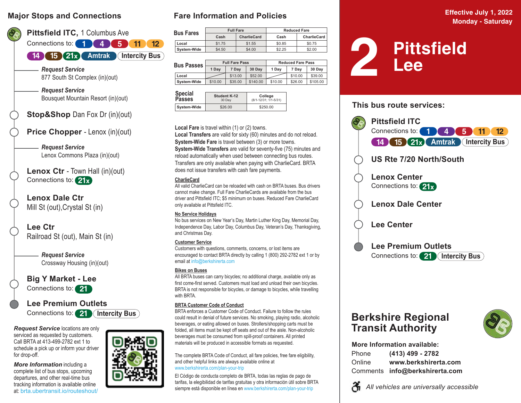

**Lenox Dale Ctr**  Mill St (out),Crystal St (in)

**Lee Ctr**  Railroad St (out), Main St (in)

> *Request Service*  Crossway Housing (in)(out)

**Big Y Market - Lee** Connections to: **21**

### **Lee Premium Outlets** Connections to: **21 Intercity Bus**

*Request Service* locations are only serviced as requested by customers. Call BRTA at 413-499-2782 ext 1 to schedule a pick up or inform your driver for drop-off.

*More Information* including a complete list of bus stops, upcoming departures, and other real-time bus tracking information is available online at: brta.ubertransit.io/routeshout/



### **Fare Information and Policies**

| <b>Bus Fares</b> |        | <b>Full Fare</b>   | <b>Reduced Fare</b> |             |  |  |  |
|------------------|--------|--------------------|---------------------|-------------|--|--|--|
|                  | Cash   | <b>CharlieCard</b> | Cash                | CharlieCard |  |  |  |
| Local            | \$1.75 | \$1.55             | \$0.85              | \$0.75      |  |  |  |
| System-Wide      | \$4.50 | \$4.00             | \$2.25              | \$2.00      |  |  |  |

| <b>Bus Passes</b> |         | <b>Full Fare Pass</b> |          | <b>Reduced Fare Pass</b> |         |          |  |  |
|-------------------|---------|-----------------------|----------|--------------------------|---------|----------|--|--|
|                   | 1 Dav   | 7 Dav                 | 30 Day   | 1 Dav                    | 7 Dav   | 30 Dav   |  |  |
| Local             |         | \$13.00               | \$52.00  |                          | \$10.00 | \$39.00  |  |  |
| System-Wide       | \$10.00 | \$35.00               | \$140.00 | \$10.00                  | \$26.00 | \$105.00 |  |  |

| <b>Special</b> | <b>Student K-12</b> | College               |
|----------------|---------------------|-----------------------|
| <b>Passes</b>  | 30 Day              | (8/1-12/31; 1/1-5/31) |
| System-Wide    | \$26.00             | \$250.00              |

**Local Fare** is travel within (1) or (2) towns.

**Local Transfers** are valid for sixty (60) minutes and do not reload. **System-Wide Fare** is travel between (3) or more towns. **System-Wide Transfers** are valid for seventy-five (75) minutes and reload automatically when used between connecting bus routes. Transfers are only available when paying with CharlieCard. BRTA does not issue transfers with cash fare payments.

#### **CharlieCard**

All valid CharlieCard can be reloaded with cash on BRTA buses. Bus drivers cannot make change. Full Fare CharlieCards are available from the bus driver and Pittsfield ITC; \$5 minimum on buses. Reduced Fare CharlieCard only available at Pittsfield ITC.

#### **No Service Holidays**

No bus services on New Year's Day, Martin Luther King Day, Memorial Day, Independence Day, Labor Day, Columbus Day, Veteran's Day, Thanksgiving, and Christmas Day.

#### **Customer Service**

Customers with questions, comments, concerns, or lost items are encouraged to contact BRTA directly by calling 1 (800) 292-2782 ext 1 or by email at info@berkshirerta.com

#### **Bikes on Buses**

All BRTA buses can carry bicycles; no additional charge, available only as first come-first served. Customers must load and unload their own bicycles. BRTA is not responsible for bicycles, or damage to bicycles, while travelling with BRTA.

#### **BRTA Customer Code of Conduct**

BRTA enforces a Customer Code of Conduct. Failure to follow the rules could result in denial of future services. No smoking, playing radio, alcoholic beverages, or eating allowed on buses. Strollers/shopping carts must be folded, all items must be kept off seats and out of the aisle. Non-alcoholic beverages must be consumed from spill-proof containers. All printed materials will be produced in accessible formats as requested.

The complete BRTA Code of Conduct, all fare policies, free fare eligibility, and other helpful links are always available online at www.berkshirerta.com/plan-your-trip

El Código de conducta completo de BRTA, todas las reglas de pago de tarifas, la elegibilidad de tarifas gratuitas y otra información útil sobre BRTA siempre está disponible en línea en www.berkshirerta.com/plan-your-trip

### **Effective July 1, 2022 Monday - Saturday**



**This bus route services:**



# **Berkshire Regional Transit Authority**



| Phone  | (413) 499 - 2782               |
|--------|--------------------------------|
| Online | www.berkshirerta.com           |
|        | Comments info@berkshirerta.com |

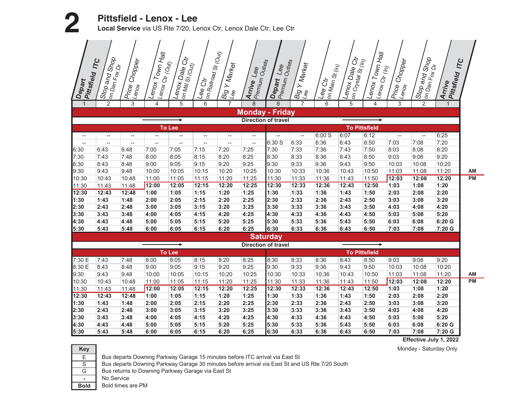**Pittsfield - Lenox - Lee** 

**2 Pittsfield - Lenox - Lee**<br>Local Service via US Rte 7/20, Lenox Ctr, Lenox Dale Ctr, Lee Ctr **peal Service** via LIS Rte 7/20 Lenox Ctr. Lenox I

| Pittsfield ITC<br>Depart<br>$\mathbf 1$ | and Shop<br>on Dan Fox <sub>Dr</sub> .<br>Stop.<br>2 | Price Chopper<br>$\overline{3}$ | Lenox Town Hall<br>$ _{\mathcal{L}\ominus n_{O\!X}\mathbb{C}h^r(O_{\mathcal{U}\!,f})}$<br>4 | Lenox Dale Ctr<br>$\vert$ on Mill St (Out)<br>5 | ' on Railroad St (Out)<br>.<br>$L$ ee $C$ tr<br>6 | Big Y Market<br> Lee<br>7 | Premium Outlets<br>Arrive Lee<br>8 | Premium Outlets<br>Depart Lee<br>$\overline{8}$ | Big Y Market<br>7        | on Main St (in)<br>Lee Ctr<br>6 | Lenox Dale Ctr<br>on Crystal St (In)<br>5 | Lenox Town Hall<br>$\vert$ Lenox Ctr $(\vert \eta\rangle$<br>4 | Price Chopper<br>Lenox<br>3 | Stop and Shop<br>on Dan Fox Dr<br>2 | <b>Pittsfield</b><br>Arrive<br>$\mathbf{1}$ | <b>ITC</b> |
|-----------------------------------------|------------------------------------------------------|---------------------------------|---------------------------------------------------------------------------------------------|-------------------------------------------------|---------------------------------------------------|---------------------------|------------------------------------|-------------------------------------------------|--------------------------|---------------------------------|-------------------------------------------|----------------------------------------------------------------|-----------------------------|-------------------------------------|---------------------------------------------|------------|
| <b>Monday - Friday</b>                  |                                                      |                                 |                                                                                             |                                                 |                                                   |                           |                                    |                                                 |                          |                                 |                                           |                                                                |                             |                                     |                                             |            |
|                                         |                                                      |                                 |                                                                                             |                                                 |                                                   |                           |                                    | <b>Direction of travel</b>                      |                          |                                 |                                           |                                                                |                             |                                     |                                             |            |
|                                         |                                                      |                                 |                                                                                             | <b>To Lee</b>                                   |                                                   |                           |                                    |                                                 |                          |                                 |                                           | <b>To Pittsfield</b>                                           |                             |                                     |                                             |            |
| $\overline{\phantom{a}}$                | $\overline{\phantom{a}}$                             | $\overline{\phantom{a}}$        | --                                                                                          | $\overline{\phantom{a}}$                        | $\overline{\phantom{a}}$                          | $\overline{\phantom{a}}$  | $\overline{\phantom{a}}$           | $\overline{\phantom{a}}$                        | $\overline{\phantom{a}}$ | 6:00S                           | 6:07                                      | 6:12                                                           | $\overline{\phantom{m}}$    | $\hspace{0.05cm} -$                 | 6:25                                        |            |
| $\overline{a}$                          | $\overline{\phantom{a}}$                             | $\overline{\phantom{a}}$        | $\overline{\phantom{a}}$                                                                    | --                                              | $\overline{\phantom{a}}$                          | $\overline{\phantom{a}}$  | $\overline{\phantom{a}}$           | 6:30S                                           | 6:33                     | 6:36                            | 6:43                                      | 6:50                                                           | 7:03                        | 7:08                                | 7:20                                        |            |
| 6:30                                    | 6:43                                                 | 6:48                            | 7:00                                                                                        | 7:05<br>8:05                                    | 7:15<br>8:15                                      | 7:20                      | 7:25                               | 7:30<br>8:30                                    | 7:33<br>8:33             | 7:36<br>8:36                    | 7:43                                      | 7:50                                                           | 8:03<br>9:03                | 8:08                                | 8:20<br>9:20                                |            |
| 7:30<br>8:30                            | 7:43<br>8:43                                         | 7:48                            | 8:00<br>9:00                                                                                | 9:05                                            | 9:15                                              | 8:20<br>9:20              | 8:25<br>9:25                       | 9:30                                            | 9:33                     | 9:36                            | 8:43<br>9:43                              | 8:50<br>9:50                                                   | 10:03                       | 9:08<br>10:08                       | 10:20                                       |            |
| 9:30                                    | 9:43                                                 | 8:48<br>9:48                    | 10:00                                                                                       | 10:05                                           | 10:15                                             | 10:20                     | 10:25                              | 10:30                                           | 10:33                    | 10:36                           | 10:43                                     | 10:50                                                          | 11:03                       | 11:08                               | 11:20                                       | AM         |
| 10:30                                   | 10:43                                                | 10:48                           | 11:00                                                                                       | 11:05                                           | 11:15                                             | 11:20                     | 11:25                              | 11:30                                           | 11:33                    | 11:36                           | 11:43                                     | 11:50                                                          | 12:03                       | 12:08                               | 12:20                                       | <b>PM</b>  |
| 11:30                                   | 11:43                                                | 11:48                           | 12:00                                                                                       | 12:05                                           | 12:15                                             | 12:20                     | 12:25                              | 12:30                                           | 12:33                    | 12:36                           | 12:43                                     | 12:50                                                          | 1:03                        | 1:08                                | 1:20                                        |            |
| 12:30                                   | 12:43                                                | 12:48                           | 1:00                                                                                        | 1:05                                            | 1:15                                              | 1:20                      | 1:25                               | 1:30                                            | 1:33                     | 1:36                            | 1:43                                      | 1:50                                                           | 2:03                        | 2:08                                | 2:20                                        |            |
| 1:30                                    | 1:43                                                 | 1:48                            | 2:00                                                                                        | 2:05                                            | 2:15                                              | 2:20                      | 2:25                               | 2:30                                            | 2:33                     | 2:36                            | 2:43                                      | 2:50                                                           | 3:03                        | 3:08                                | 3:20                                        |            |
| 2:30                                    | 2:43                                                 | 2:48                            | 3:00                                                                                        | 3:05                                            | 3:15                                              | 3:20                      | 3:25                               | 3:30                                            | 3:33                     | 3:36                            | 3:43                                      | 3:50                                                           | 4:03                        | 4:08                                | 4:20                                        |            |
| 3:30                                    | 3:43                                                 | 3:48                            | 4:00                                                                                        | 4:05                                            | 4:15                                              | 4:20                      | 4:25                               | 4:30                                            | 4:33                     | 4:36                            | 4:43                                      | 4:50                                                           | 5:03                        | 5:08                                | 5:20                                        |            |
| 4:30                                    | 4:43                                                 | 4:48                            | 5:00                                                                                        | 5:05                                            | 5:15                                              | 5:20                      | 5:25                               | 5:30                                            | 5:33                     | 5:36                            | 5:43                                      | 5:50                                                           | 6:03                        | 6:08                                | 6:20G                                       |            |
| 5:30                                    | 5:43                                                 | 5:48                            | 6:00                                                                                        | 6:05                                            | 6:15                                              | 6:20                      | 6:25                               | 6:30                                            | 6:33                     | 6:36                            | 6:43                                      | 6:50                                                           | 7:03                        | 7:08                                | 7:20 G                                      |            |
|                                         |                                                      |                                 |                                                                                             |                                                 |                                                   |                           |                                    | <b>Saturday</b>                                 |                          |                                 |                                           |                                                                |                             |                                     |                                             |            |
|                                         |                                                      |                                 |                                                                                             | ÷                                               |                                                   |                           |                                    | <b>Direction of travel</b>                      |                          |                                 |                                           |                                                                |                             |                                     |                                             |            |
|                                         |                                                      |                                 |                                                                                             | <b>To Lee</b>                                   |                                                   |                           |                                    |                                                 |                          |                                 |                                           | <b>To Pittsfield</b>                                           |                             |                                     |                                             |            |
| 7:30 E                                  | 7:43                                                 | 7:48                            | 8:00                                                                                        | 8:05                                            | 8:15                                              | 8:20                      | 8:25                               | 8:30                                            | 8:33                     | 8:36                            | 8:43                                      | 8:50                                                           | 9:03                        | 9:08                                | 9:20                                        |            |
| 8:30 E                                  | 8:43                                                 | 8:48                            | 9:00                                                                                        | 9:05                                            | 9:15                                              | 9:20                      | 9:25                               | 9:30                                            | 9:33                     | 9:36                            | 9:43                                      | 9:50                                                           | 10:03                       | 10:08                               | 10:20                                       |            |
| 9:30                                    | 9:43                                                 | 9:48                            | 10:00                                                                                       | 10:05                                           | 10:15                                             | 10:20                     | 10:25                              | 10:30                                           | 10:33                    | 10:36                           | 10:43                                     | 10:50                                                          | 11:03                       | 11:08                               | 11:20                                       | AM         |
| 10:30                                   | 10:43                                                | 10:48                           | 11:00                                                                                       | 11:05                                           | 11:15                                             | 11:20                     | 11:25                              | 11:30                                           | 11:33                    | 11:36                           | 11:43                                     | 11:50                                                          | 12:03                       | 12:08                               | 12:20                                       | PM         |
| 11:30                                   | 11:43                                                | 11:48                           | 12:00                                                                                       | 12:05                                           | 12:15                                             | 12:20                     | 12:25                              | 12:30                                           | 12:33                    | 12:36                           | 12:43                                     | 12:50                                                          | 1:03                        | 1:08                                | 1:20                                        |            |
| 12:30                                   | 12:43                                                | 12:48                           | 1:00                                                                                        | 1:05                                            | 1:15                                              | 1:20                      | 1:25                               | 1:30                                            | 1:33                     | 1:36                            | 1:43                                      | 1:50                                                           | 2:03                        | 2:08                                | 2:20                                        |            |
| 1:30                                    | 1:43                                                 | 1:48                            | 2:00                                                                                        | 2:05                                            | 2:15                                              | 2:20                      | 2:25                               | 2:30                                            | 2:33                     | 2:36                            | 2:43                                      | 2:50                                                           | 3:03                        | 3:08                                | 3:20                                        |            |
| 2:30                                    | 2:43                                                 | 2:48                            | 3:00                                                                                        | 3:05                                            | 3:15                                              | 3:20                      | 3:25                               | 3:30                                            | 3:33                     | 3:36                            | 3:43                                      | 3:50                                                           | 4:03                        | 4:08                                | 4:20                                        |            |
| 3:30                                    | 3:43                                                 | 3:48                            | 4:00                                                                                        | 4:05                                            | 4:15                                              | 4:20                      | 4:25                               | 4:30                                            | 4:33                     | 4:36                            | 4:43                                      | 4:50                                                           | 5:03                        | 5:08                                | 5:20                                        |            |
| 4:30                                    | 4:43                                                 | 4:48                            | 5:00                                                                                        | 5:05                                            | 5:15                                              | 5:20                      | 5:25                               | 5:30                                            | 5:33                     | 5:36                            | 5:43                                      | 5:50                                                           | 6:03                        | 6:08                                | 6:20 G                                      |            |
| 5:30                                    | 5:43                                                 | 5:48                            | 6:00                                                                                        | 6:05                                            | 6:15                                              | 6:20                      | 6:25                               | 6:30                                            | 6:33                     | 6:36                            | 6:43                                      | 6:50                                                           | 7:03                        | 7:08                                | 7:20 G                                      |            |

**Effective July 1, 2022**

Monday - Saturday Only

**Key**  $\overline{E}$  $\overline{s}$ G **- Bold**

Bus departs Downing Parkway Garage 15 minutes before ITC arrival via East St

Bus departs Downing Parkway Garage 30 minutes before arrival via East St and US Rte 7/20 South

 Bus returns to Downing Parkway Garage via East St No Service

Bold times are PM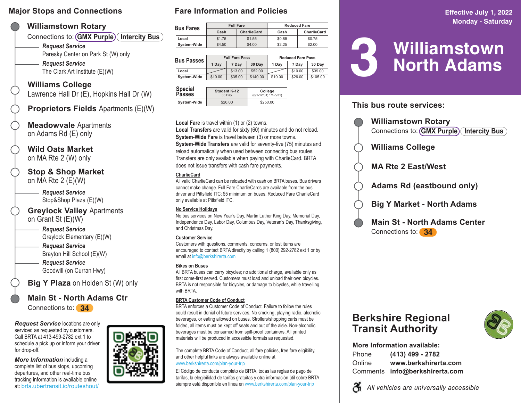# **Williamstown Rotary**

# Connections to: **GMX Purple Intercity Bus**

*Request Service*  Paresky Center on Park St (W) only

# *Request Service*

The Clark Art Institute (E)(W)

## **Williams College**

Lawrence Hall Dr (E), Hopkins Hall Dr (W)

# **Proprietors Fields** Apartments (E)(W)

**Meadowvale** Apartments on Adams Rd (E) only

**Wild Oats Market** on MA Rte 2 (W) only

### **Stop & Shop Market** on MA Rte 2 (E)(W)

*Request Service*  Stop&Shop Plaza (E)(W)

**Greylock Valley** Apartments on Grant St (E)(W)

*Request Service*  Greylock Elementary (E)(W)

*Request Service*  Brayton Hill School (E)(W)

*Request Service*  Goodwill (on Curran Hwy)

**Big Y Plaza** on Holden St (W) only

## **34** Connections to: **Main St - North Adams Ctr**

*Request Service* locations are only serviced as requested by customers. Call BRTA at 413-499-2782 ext 1 to schedule a pick up or inform your driver for drop-off.

*More Information* including a complete list of bus stops, upcoming departures, and other real-time bus tracking information is available online at: brta.ubertransit.io/routeshout/



# **Fare Information and Policies**

| <b>Bus Fares</b> |        | <b>Full Fare</b> | <b>Reduced Fare</b> |        |  |  |
|------------------|--------|------------------|---------------------|--------|--|--|
|                  | Cash   | CharlieCard      | Cash                |        |  |  |
| Local            | \$1.75 | \$1.55           | \$0.85              | \$0.75 |  |  |
| System-Wide      | \$4.50 | \$4.00           | \$2.25              | \$2.00 |  |  |

| <b>Bus Passes</b> |         | <b>Full Fare Pass</b> |          | <b>Reduced Fare Pass</b> |         |          |  |  |
|-------------------|---------|-----------------------|----------|--------------------------|---------|----------|--|--|
|                   | 1 Dav   | 7 Dav                 | 30 Day   | 1 Dav                    | 30 Day  |          |  |  |
| Local             |         | \$13.00               | \$52.00  |                          | \$10.00 | \$39.00  |  |  |
| System-Wide       | \$10.00 | \$35.00               | \$140.00 | \$10.00                  | \$26.00 | \$105.00 |  |  |

| Special<br>Passes | Student K-12<br>30 Day | College<br>(8/1-12/31; 1/1-5/31) |
|-------------------|------------------------|----------------------------------|
| System-Wide       | \$26.00                | \$250.00                         |

**Local Fare** is travel within (1) or (2) towns.

**Local Transfers** are valid for sixty (60) minutes and do not reload. **System-Wide Fare** is travel between (3) or more towns. **System-Wide Transfers** are valid for seventy-five (75) minutes and reload automatically when used between connecting bus routes. Transfers are only available when paying with CharlieCard. BRTA does not issue transfers with cash fare payments.

#### **CharlieCard**

All valid CharlieCard can be reloaded with cash on BRTA buses. Bus drivers cannot make change. Full Fare CharlieCards are available from the bus driver and Pittsfield ITC; \$5 minimum on buses. Reduced Fare CharlieCard only available at Pittsfield ITC.

#### **No Service Holidays**

No bus services on New Year's Day, Martin Luther King Day, Memorial Day, Independence Day, Labor Day, Columbus Day, Veteran's Day, Thanksgiving, and Christmas Day.

#### **Customer Service**

Customers with questions, comments, concerns, or lost items are encouraged to contact BRTA directly by calling 1 (800) 292-2782 ext 1 or by email at info@berkshirerta.com

#### **Bikes on Buses**

All BRTA buses can carry bicycles; no additional charge, available only as first come-first served. Customers must load and unload their own bicycles. BRTA is not responsible for bicycles, or damage to bicycles, while travelling with BRTA.

#### **BRTA Customer Code of Conduct**

BRTA enforces a Customer Code of Conduct. Failure to follow the rules could result in denial of future services. No smoking, playing radio, alcoholic beverages, or eating allowed on buses. Strollers/shopping carts must be folded, all items must be kept off seats and out of the aisle. Non-alcoholic beverages must be consumed from spill-proof containers. All printed materials will be produced in accessible formats as requested.

The complete BRTA Code of Conduct, all fare policies, free fare eligibility, and other helpful links are always available online at www.berkshirerta.com/plan-your-trip

El Código de conducta completo de BRTA, todas las reglas de pago de tarifas, la elegibilidad de tarifas gratuitas y otra información útil sobre BRTA siempre está disponible en línea en www.berkshirerta.com/plan-your-trip

### **Effective July 1, 2022 Monday - Saturday**



## **This bus route services:**



# **Berkshire Regional Transit Authority**



| Phone  | $(413)$ 499 - 2782             |
|--------|--------------------------------|
| Online | www.berkshirerta.com           |
|        | Comments info@berkshirerta.com |

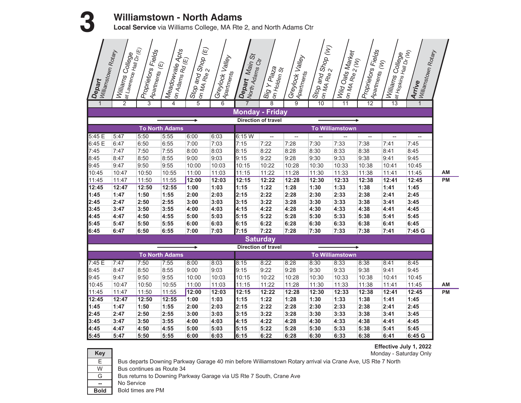|                               | <b>Williamstown - North Adams</b><br>Local Service via Williams College, MA Rte 2, and North Adams Ctr |                                      |                                                                        |                                                                         |                               |                                   |                                  |                               |                                               |                                                                                                                                                                                                    |                                      |                                                            |                               |           |
|-------------------------------|--------------------------------------------------------------------------------------------------------|--------------------------------------|------------------------------------------------------------------------|-------------------------------------------------------------------------|-------------------------------|-----------------------------------|----------------------------------|-------------------------------|-----------------------------------------------|----------------------------------------------------------------------------------------------------------------------------------------------------------------------------------------------------|--------------------------------------|------------------------------------------------------------|-------------------------------|-----------|
| Williamstown Rotary<br>Depart | at Lawrence Hall $\check{\mathsf{D}}$ r (E)<br>Williams College                                        | Proprietors Fields<br>Apartments (E) | Meadowale Apts<br>$\cdot \vert$ on Adams Ra $\left(\varepsilon\right)$ | n <mark>Stop ang Shop <sub>(E)</sub><br/>n<sub>on MA Rte 2</sub></mark> | Greylock Valley<br>Apartments | Depart Main St<br>North Adams Ctr | $B_{ig}$ Y Plaza<br>on Holden St | Greylock Valley<br>Apartments | Stop and Shop (W)<br><sup>S on MA</sup> Rte 2 | $ _{\mathit{Wilq}\, \mathsf{O}_{\mathsf{a} \mathsf{I} \mathsf{S} \, \mathit{M}_{\mathsf{a} \mathsf{I} \mathsf{K} \mathsf{e} \mathsf{f}}}$<br>$\overline{\mathsf{I}}$ on MA Ri $_{\mathsf{e2}}$ (W) | Proprietors Fields<br>Apartments (W) | a <mark>Williams College</mark><br>Pat Hopkins Hall Dr (W) | Williamstown Rotary<br>Arrive |           |
| 1                             | $\overline{2}$                                                                                         | $\overline{\overline{3}}$            | $\overline{4}$                                                         | $\overline{5}$                                                          | $\overline{6}$                | $\overline{7}$                    | $\overline{8}$                   | $\overline{9}$                | 10                                            | $\overline{11}$                                                                                                                                                                                    | $\overline{12}$                      | 13                                                         | $\overline{1}$                |           |
|                               |                                                                                                        |                                      |                                                                        |                                                                         |                               |                                   | <b>Monday - Friday</b>           |                               |                                               |                                                                                                                                                                                                    |                                      |                                                            |                               |           |
| <b>Direction of travel</b>    |                                                                                                        |                                      |                                                                        |                                                                         |                               |                                   |                                  |                               |                                               |                                                                                                                                                                                                    |                                      |                                                            |                               |           |
|                               |                                                                                                        |                                      | <b>To North Adams</b>                                                  |                                                                         |                               |                                   |                                  |                               |                                               | <b>To Williamstown</b>                                                                                                                                                                             |                                      |                                                            |                               |           |
| 5:45E                         | 5:47                                                                                                   | 5:50                                 | 5:55                                                                   | 6:00                                                                    | 6:03                          | 6:15W                             | $\overline{\phantom{a}}$         | $\overline{\phantom{a}}$      | --                                            |                                                                                                                                                                                                    | $\overline{a}$                       | $\overline{a}$                                             | $\overline{a}$                |           |
| 6:45 E                        | 6:47                                                                                                   | 6:50                                 | 6:55                                                                   | 7:00                                                                    | 7:03                          | 7:15                              | 7:22                             | 7:28                          | 7:30                                          | 7:33                                                                                                                                                                                               | 7:38                                 | 7:41                                                       | 7:45                          |           |
| 7:45                          | 7:47<br>8:47                                                                                           | 7:50                                 | 7:55<br>8:55                                                           | 8:00                                                                    | 8:03<br>9:03                  | 8:15                              | 8:22                             | 8:28                          | 8:30                                          | 8:33<br>9:33                                                                                                                                                                                       | 8:38                                 | 8:41                                                       | 8:45<br>9:45                  |           |
| 8:45<br>9:45                  | 9:47                                                                                                   | 8:50<br>9:50                         | 9:55                                                                   | 9:00<br>10:00                                                           | 10:03                         | 9:15<br>10:15                     | 9:22<br>10:22                    | 9:28<br>10:28                 | 9:30<br>10:30                                 | 10:33                                                                                                                                                                                              | 9:38<br>10:38                        | 9:41<br>10:41                                              | 10:45                         |           |
| 10:45                         | 10:47                                                                                                  | 10:50                                | 10:55                                                                  | 11:00                                                                   | 11:03                         | 11:15                             | 11:22                            | 11:28                         | 11:30                                         | 11:33                                                                                                                                                                                              | 11:38                                | 11:41                                                      | 11:45                         | AM        |
| 11:45                         | 11:47                                                                                                  | 11:50                                | 11:55                                                                  | 12:00                                                                   | 12:03                         | 12:15                             | 12:22                            | 12:28                         | 12:30                                         | 12:33                                                                                                                                                                                              | 12:38                                | 12:41                                                      | 12:45                         | <b>PM</b> |
| 12:45                         | 12:47                                                                                                  | 12:50                                | 12:55                                                                  | 1:00                                                                    | 1:03                          | 1:15                              | 1:22                             | 1:28                          | 1:30                                          | 1:33                                                                                                                                                                                               | 1:38                                 | 1:41                                                       | 1:45                          |           |
| 1:45                          | 1:47                                                                                                   | 1:50                                 | 1:55                                                                   | 2:00                                                                    | 2:03                          | 2:15                              | 2:22                             | 2:28                          | 2:30                                          | 2:33                                                                                                                                                                                               | 2:38                                 | 2:41                                                       | 2:45                          |           |
| 2:45                          | 2:47                                                                                                   | 2:50                                 | 2:55                                                                   | 3:00                                                                    | 3:03                          | 3:15                              | 3:22                             | 3:28                          | 3:30                                          | 3:33                                                                                                                                                                                               | 3:38                                 | 3:41                                                       | 3:45                          |           |
| 3:45                          | 3:47                                                                                                   | 3:50                                 | 3:55                                                                   | 4:00                                                                    | 4:03                          | 4:15                              | 4:22                             | 4:28                          | 4:30                                          | 4:33                                                                                                                                                                                               | 4:38                                 | 4:41                                                       | 4:45                          |           |
| 4:45                          | 4:47                                                                                                   | 4:50                                 | 4:55                                                                   | 5:00                                                                    | 5:03                          | 5:15                              | 5:22                             | 5:28                          | 5:30                                          | 5:33                                                                                                                                                                                               | 5:38                                 | 5:41                                                       | 5:45                          |           |
| 5:45                          | 5:47                                                                                                   | 5:50                                 | 5:55                                                                   | 6:00                                                                    | 6:03                          | 6:15                              | 6:22                             | 6:28                          | 6:30                                          | 6:33                                                                                                                                                                                               | 6:38                                 | 6:41                                                       | 6:45                          |           |
| 6:45                          | 6:47                                                                                                   | 6:50                                 | 6:55                                                                   | 7:00                                                                    | 7:03                          | 7:15                              | 7:22                             | 7:28                          | 7:30                                          | 7:33                                                                                                                                                                                               | 7:38                                 | 7:41                                                       | 7:45 G                        |           |
|                               |                                                                                                        |                                      |                                                                        |                                                                         |                               |                                   | <b>Saturday</b>                  |                               |                                               |                                                                                                                                                                                                    |                                      |                                                            |                               |           |
|                               |                                                                                                        |                                      |                                                                        | ۰                                                                       |                               |                                   | <b>Direction of travel</b>       |                               |                                               |                                                                                                                                                                                                    |                                      |                                                            |                               |           |
|                               |                                                                                                        |                                      | <b>To North Adams</b>                                                  |                                                                         |                               |                                   |                                  |                               |                                               | <b>To Williamstown</b>                                                                                                                                                                             |                                      |                                                            |                               |           |
| 7:45 E                        | 7:47                                                                                                   | 7:50                                 | 7:55                                                                   | 8:00                                                                    | 8:03                          | 8:15                              | 8:22                             | 8:28                          | 8:30                                          | 8:33                                                                                                                                                                                               | 8:38                                 | 8:41                                                       | 8:45                          |           |
| 8:45                          | 8:47                                                                                                   | 8:50                                 | 8:55                                                                   | 9:00                                                                    | 9:03                          | 9:15                              | 9:22                             | 9:28                          | 9:30                                          | 9:33                                                                                                                                                                                               | 9:38                                 | 9:41                                                       | 9:45                          |           |
| 9:45                          | 9:47                                                                                                   | 9:50                                 | 9:55                                                                   | 10:00                                                                   | 10:03                         | 10:15                             | 10:22                            | 10:28                         | 10:30                                         | 10:33                                                                                                                                                                                              | 10:38                                | 10:41                                                      | 10:45                         |           |
| 10:45                         | 10:47                                                                                                  | 10:50                                | 10:55                                                                  | 11:00                                                                   | 11:03                         | 11:15                             | 11:22                            | 11:28                         | 11:30                                         | 11:33                                                                                                                                                                                              | 11:38                                | 11:41                                                      | 11:45                         | ΑM        |
| 11:45                         | 11:47                                                                                                  | 11:50                                | 11:55                                                                  | 12:00                                                                   | 12:03                         | 12:15                             | 12:22                            | 12:28                         | 12:30                                         | 12:33                                                                                                                                                                                              | 12:38                                | 12:41                                                      | 12:45                         | PM        |
| 12:45                         | 12:47                                                                                                  | 12:50                                | 12:55                                                                  | 1:00                                                                    | 1:03                          | 1:15                              | 1:22                             | 1:28                          | 1:30                                          | 1:33                                                                                                                                                                                               | 1:38                                 | 1:41                                                       | 1:45                          |           |
| 1:45                          | 1:47                                                                                                   | 1:50                                 | 1:55                                                                   | 2:00                                                                    | 2:03                          | 2:15                              | 2:22                             | 2:28                          | 2:30                                          | 2:33                                                                                                                                                                                               | 2:38                                 | 2:41                                                       | 2:45                          |           |
| 2:45                          | 2:47                                                                                                   | 2:50                                 | 2:55                                                                   | 3:00                                                                    | 3:03                          | 3:15                              | 3:22                             | 3:28                          | 3:30                                          | 3:33                                                                                                                                                                                               | 3:38                                 | 3:41                                                       | 3:45                          |           |
| 3:45                          | 3:47                                                                                                   | 3:50                                 | 3:55                                                                   | 4:00                                                                    | 4:03                          | 4:15                              | 4:22                             | 4:28                          | 4:30                                          | 4:33                                                                                                                                                                                               | 4:38                                 | 4:41                                                       | 4:45                          |           |
| 4:45                          | 4:47                                                                                                   | 4:50                                 | 4:55                                                                   | 5:00                                                                    | 5:03                          | 5:15                              | 5:22                             | 5:28                          | 5:30                                          | 5:33                                                                                                                                                                                               | 5:38                                 | 5:41                                                       | 5:45                          |           |
| 5:45                          | 5:47                                                                                                   | 5:50                                 | 5:55                                                                   | 6:00                                                                    | 6:03                          | 6:15                              | 6:22                             | 6:28                          | 6:30                                          | 6:33                                                                                                                                                                                               | 6:38                                 | 6:41                                                       | 6:45G                         |           |

**Effective July 1, 2022**

and the

**Key Associated Automatic Second Control of the Saturday Only and Saturday Only and Saturday Only and Saturday Only** 

E Bus departs Downing Parkway Garage 40 min before Williamstown Rotary arrival via Crane Ave, US Rte 7 North

W Bus continues as Route 34

G Bus returns to Downing Parkway Garage via US Rte 7 South, Crane Ave

No Service

Bold times are PM

**-- Bold**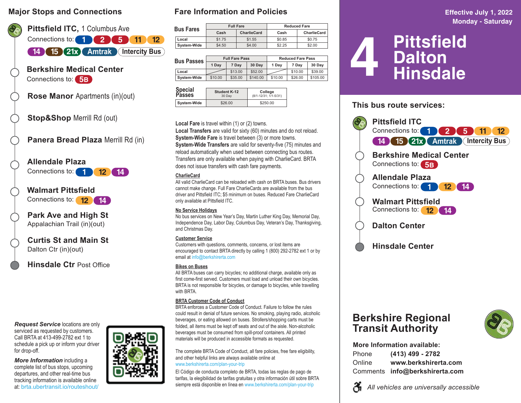

### **Berkshire Medical Center** Connections to: **5B**

**Rose Manor** Apartments (in)(out)

**Stop&Shop** Merrill Rd (out)

**Panera Bread Plaza** Merrill Rd (in)

### **Allendale Plaza**

Connections to: **1 12 14**

**Walmart Pittsfield** Connections to: **12 14**

**Park Ave and High St**  Appalachian Trail (in)(out)

**Curtis St and Main St**  Dalton Ctr (in)(out)

**Hinsdale Ctr** Post Office

*Request Service* locations are only serviced as requested by customers. Call BRTA at 413-499-2782 ext 1 to schedule a pick up or inform your driver for drop-off.

*More Information* including a complete list of bus stops, upcoming departures, and other real-time bus tracking information is available online at: brta.ubertransit.io/routeshout/



### **Fare Information and Policies**

| <b>Bus Fares</b> |        | <b>Full Fare</b> | <b>Reduced Fare</b> |             |  |  |
|------------------|--------|------------------|---------------------|-------------|--|--|
|                  | Cash   | CharlieCard      | Cash                | CharlieCard |  |  |
| Local            | \$1.75 | \$1.55           | \$0.85              | \$0.75      |  |  |
| System-Wide      | \$4.50 | \$4.00           | \$2.25              | \$2.00      |  |  |

| <b>Bus Passes</b> |         | <b>Full Fare Pass</b> |          | <b>Reduced Fare Pass</b> |         |          |  |
|-------------------|---------|-----------------------|----------|--------------------------|---------|----------|--|
|                   | 1 Dav   | 7 Dav                 | 30 Day   | 1 Dav                    | 7 Dav   | 30 Day   |  |
| Local             |         | \$13.00               | \$52.00  |                          | \$10.00 | \$39.00  |  |
| System-Wide       | \$10.00 | \$35.00               | \$140.00 | \$10.00                  | \$26.00 | \$105.00 |  |

| Special<br>Passes | Student K-12<br>30 Day | College<br>(8/1-12/31; 1/1-5/31) |
|-------------------|------------------------|----------------------------------|
| System-Wide       | \$26.00                | \$250.00                         |

**Local Fare** is travel within (1) or (2) towns.

**Local Transfers** are valid for sixty (60) minutes and do not reload. **System-Wide Fare** is travel between (3) or more towns. **System-Wide Transfers** are valid for seventy-five (75) minutes and reload automatically when used between connecting bus routes. Transfers are only available when paying with CharlieCard. BRTA does not issue transfers with cash fare payments.

#### **CharlieCard**

All valid CharlieCard can be reloaded with cash on BRTA buses. Bus drivers cannot make change. Full Fare CharlieCards are available from the bus driver and Pittsfield ITC; \$5 minimum on buses. Reduced Fare CharlieCard only available at Pittsfield ITC.

#### **No Service Holidays**

No bus services on New Year's Day, Martin Luther King Day, Memorial Day, Independence Day, Labor Day, Columbus Day, Veteran's Day, Thanksgiving, and Christmas Day.

#### **Customer Service**

Customers with questions, comments, concerns, or lost items are encouraged to contact BRTA directly by calling 1 (800) 292-2782 ext 1 or by email at info@berkshirerta.com

#### **Bikes on Buses**

All BRTA buses can carry bicycles; no additional charge, available only as first come-first served. Customers must load and unload their own bicycles. BRTA is not responsible for bicycles, or damage to bicycles, while travelling with BRTA.

#### **BRTA Customer Code of Conduct**

BRTA enforces a Customer Code of Conduct. Failure to follow the rules could result in denial of future services. No smoking, playing radio, alcoholic beverages, or eating allowed on buses. Strollers/shopping carts must be folded, all items must be kept off seats and out of the aisle. Non-alcoholic beverages must be consumed from spill-proof containers. All printed materials will be produced in accessible formats as requested.

The complete BRTA Code of Conduct, all fare policies, free fare eligibility, and other helpful links are always available online at www.berkshirerta.com/plan-your-trip

El Código de conducta completo de BRTA, todas las reglas de pago de tarifas, la elegibilidad de tarifas gratuitas y otra información útil sobre BRTA siempre está disponible en línea en www.berkshirerta.com/plan-your-trip

**Effective July 1, 2022 Monday - Saturday** 



**This bus route services:**



# **Berkshire Regional Transit Authority**



**More Information available:** Phone Online Comments **info@berkshirerta.com (413) 499 - 2782 www.berkshirerta.com**

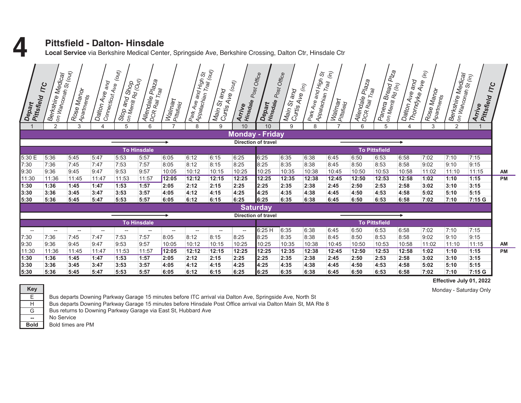**4 Pittsfield - Dalton- Hinsdale**<br>Local Service via Berkshire Medical Center, Springside Ave, Berkshire Crossing, Dalton Ctr, Hinsdale Ctr

|                                  |                                                   | ו וננטווטוע                      |                                                                                                            | <b>PURSIL LUBBAUS</b><br>Local Service via Berkshire Medical Center, Springside Ave, Berkshire Crossing, Dalton Ctr, Hinsdale Ctr                 |                                    |                                  |                                  |                                                                 |                                  |                                |                                           |                                           |                                    |                                           |                                                                        |                             |                                                                |                                                        |                      |           |
|----------------------------------|---------------------------------------------------|----------------------------------|------------------------------------------------------------------------------------------------------------|---------------------------------------------------------------------------------------------------------------------------------------------------|------------------------------------|----------------------------------|----------------------------------|-----------------------------------------------------------------|----------------------------------|--------------------------------|-------------------------------------------|-------------------------------------------|------------------------------------|-------------------------------------------|------------------------------------------------------------------------|-----------------------------|----------------------------------------------------------------|--------------------------------------------------------|----------------------|-----------|
| <b>Pittsfield</b><br>Depart      | Berkshire Medicar<br> on Wahconah St (out)<br>17C | Rose Manor<br>Apartments         | and<br>$\vert_{\textit{Compare}\textit{tr}_{\textit{Cyl}}}\vert_{\textit{Ave}}$<br>Dalton Ave <sub>c</sub> | $(94)$<br>$\begin{bmatrix} \mathcal{S} to\rho \ \mathsf{a} \eta\sigma \ \mathcal{S} \mathsf{h} \mathsf{o} \rho \end{bmatrix}$ on Merrill Rd (Out) | Allendale Plaza<br> DCR Rail Trail | Walmart<br>Pittsfield            | Park Ave and High St             | Trail (out)<br> Main St and<br> Curtis Ave <sub>(Out)</sub><br> | Hinsdale Post Office<br>Arrive   | Depart<br>Hinsdale Post Office | Curtis Ave <sub>(in)</sub><br>Main St and | Park Ave and High St<br>Appalachian Trail | $\hat{m}$<br>Walmart<br>Pittsfield | Plaza<br>Allendale Pla.<br>DCR Rail Trail | Pl <sub>Za</sub><br> Panera Bread F<br>  <sup>On Merrill Rd (In)</sup> | Dalton Ave and<br>Thomayke, | $\hat{\epsilon}$<br>$4\frac{1}{6}$<br>Rose Manor<br>Apartments | Berkshire Medical<br>I <sup>on Wahco</sup> nah St (in) | Arrive<br>Pittsfield | ITC       |
|                                  | 2                                                 | 3                                | 4                                                                                                          | 5                                                                                                                                                 | 6                                  |                                  | 8                                | 9                                                               | 10                               | 10                             | 9                                         | 8                                         | $\overline{ }$                     | 6                                         | 5                                                                      | 4                           | 3                                                              | 2                                                      |                      |           |
|                                  |                                                   |                                  |                                                                                                            |                                                                                                                                                   |                                    |                                  |                                  |                                                                 | <b>Monday - Friday</b>           |                                |                                           |                                           |                                    |                                           |                                                                        |                             |                                                                |                                                        |                      |           |
|                                  |                                                   |                                  |                                                                                                            |                                                                                                                                                   |                                    |                                  |                                  |                                                                 |                                  | Direction of travel            |                                           |                                           |                                    |                                           |                                                                        |                             |                                                                |                                                        |                      |           |
|                                  |                                                   |                                  |                                                                                                            |                                                                                                                                                   | <b>To Hinsdale</b>                 |                                  |                                  |                                                                 |                                  |                                |                                           |                                           |                                    |                                           | To Pittsfield                                                          |                             |                                                                |                                                        |                      |           |
| 5:30 E                           | 5:36                                              | 5:45                             | 5:47                                                                                                       | 5:53                                                                                                                                              | 5:57                               | 6:05                             | 6:12                             | 6:15                                                            | 6:25                             | 6:25                           | 6:35                                      | 6:38                                      | 6:45                               | 6:50                                      | 6:53                                                                   | 6:58                        | 7:02                                                           | 7:10                                                   | 7:15                 |           |
| 7:30                             | 7:36                                              | 7:45                             | 7:47                                                                                                       | 7:53                                                                                                                                              | 7:57                               | 8:05                             | 8:12                             | 8:15                                                            | 8:25                             | 8:25                           | 8:35                                      | 8:38                                      | 8:45                               | 8:50                                      | 8:53                                                                   | 8:58                        | 9:02                                                           | 9:10                                                   | 9:15                 |           |
| 9:30                             | 9:36                                              | 9:45                             | 9:47                                                                                                       | 9:53                                                                                                                                              | 9:57                               | 10:05                            | 10:12                            | 10:15                                                           | 10:25                            | 10:25                          | 10:35                                     | 10:38                                     | 10:45                              | 10:50                                     | 10:53                                                                  | 10:58                       | 11:02                                                          | 11:10                                                  | 11:15                | AM        |
| 11:30                            | 11:36                                             | 11:45                            | 11:47                                                                                                      | 11:53                                                                                                                                             | 11:57                              | 12:05                            | 12:12                            | 12:15                                                           | 12:25                            | 12:25                          | 12:35                                     | 12:38                                     | 12:45                              | 12:50                                     | 12:53                                                                  | 12:58                       | 1:02                                                           | 1:10                                                   | 1:15                 | <b>PM</b> |
| 1:30                             | 1:36                                              | 1:45                             | 1:47                                                                                                       | 1:53                                                                                                                                              | 1:57                               | 2:05                             | 2:12                             | 2:15                                                            | 2:25                             | 2:25                           | 2:35                                      | 2:38                                      | 2:45                               | 2:50                                      | 2:53                                                                   | 2:58                        | 3:02                                                           | 3:10                                                   | 3:15                 |           |
| 3:30<br>5:30                     | 3:36<br>5:36                                      | 3:45<br>5:45                     | 3:47<br>5:47                                                                                               | 3:53<br>5:53                                                                                                                                      | 3:57<br>5:57                       | 4:05<br>6:05                     | 4:12<br>6:12                     | 4:15<br>6:15                                                    | 4:25<br>6:25                     | 4:25<br>6:25                   | 4:35<br>6:35                              | 4:38<br>6:38                              | 4:45<br>6:45                       | 4:50<br>6:50                              | 4:53<br>6:53                                                           | 4:58<br>6:58                | 5:02<br>7:02                                                   | 5:10<br>7:10                                           | 5:15<br>7:15 G       |           |
|                                  |                                                   |                                  |                                                                                                            |                                                                                                                                                   |                                    |                                  |                                  |                                                                 |                                  |                                |                                           |                                           |                                    |                                           |                                                                        |                             |                                                                |                                                        |                      |           |
|                                  |                                                   |                                  |                                                                                                            |                                                                                                                                                   |                                    |                                  |                                  |                                                                 |                                  | <b>Saturday</b>                |                                           |                                           |                                    |                                           |                                                                        |                             |                                                                |                                                        |                      |           |
|                                  |                                                   |                                  |                                                                                                            |                                                                                                                                                   | To Hinsdale                        |                                  |                                  |                                                                 |                                  | <b>Direction of travel</b>     |                                           |                                           |                                    |                                           | <b>To Pittsfield</b>                                                   |                             |                                                                |                                                        |                      |           |
|                                  |                                                   |                                  |                                                                                                            |                                                                                                                                                   |                                    |                                  |                                  |                                                                 |                                  |                                |                                           |                                           |                                    |                                           |                                                                        |                             |                                                                |                                                        |                      |           |
| $\overline{\phantom{a}}$<br>7:30 | $\sim$<br>7:36                                    | $\overline{\phantom{a}}$<br>7:45 | $\overline{\phantom{a}}$<br>7:47                                                                           | $\overline{a}$<br>7:53                                                                                                                            | $\overline{\phantom{a}}$<br>7:57   | $\overline{\phantom{a}}$<br>8:05 | $\overline{\phantom{a}}$<br>8:12 | $\overline{\phantom{a}}$<br>8:15                                | $\overline{\phantom{a}}$<br>8:25 | 6:25H<br>8:25                  | 6:35<br>8:35                              | 6:38<br>8:38                              | 6:45<br>8:45                       | 6:50<br>8:50                              | 6:53<br>8:53                                                           | 6:58<br>8:58                | 7:02<br>9:02                                                   | 7:10<br>9:10                                           | 7:15<br>9:15         |           |
| 9:30                             | 9:36                                              | 9:45                             | 9:47                                                                                                       | 9:53                                                                                                                                              | 9:57                               | 10:05                            | 10:12                            | 10:15                                                           | 10:25                            | 10:25                          | 10:35                                     | 10:38                                     | 10:45                              | 10:50                                     | 10:53                                                                  | 10:58                       | 11:02                                                          | 11:10                                                  | 11:15                | AM        |
| 11:30                            | 11:36                                             | 11:45                            | 11:47                                                                                                      | 11:53                                                                                                                                             | 11:57                              | 12:05                            | 12:12                            | 12:15                                                           | 12:25                            | 12:25                          | 12:35                                     | 12:38                                     | 12:45                              | 12:50                                     | 12:53                                                                  | 12:58                       | 1:02                                                           | 1:10                                                   | 1:15                 | <b>PM</b> |
| 1:30                             | 1:36                                              | 1:45                             | 1:47                                                                                                       | 1:53                                                                                                                                              | 1:57                               | 2:05                             | 2:12                             | 2:15                                                            | 2:25                             | 2:25                           | 2:35                                      | 2:38                                      | 2:45                               | 2:50                                      | 2:53                                                                   | 2:58                        | 3:02                                                           | 3:10                                                   | 3:15                 |           |
| 3:30                             | 3:36                                              | 3:45                             | 3:47                                                                                                       | 3:53                                                                                                                                              | 3:57                               | 4:05                             | 4:12                             | 4:15                                                            | 4:25                             | 4:25                           | 4:35                                      | 4:38                                      | 4:45                               | 4:50                                      | 4:53                                                                   | 4:58                        | 5:02                                                           | 5:10                                                   | 5:15                 |           |
| 5:30                             | 5:36                                              | 5:45                             | 5:47                                                                                                       | 5:53                                                                                                                                              | 5:57                               | 6:05                             | 6:12                             | 6:15                                                            | 6:25                             | 6:25                           | 6:35                                      | 6:38                                      | 6:45                               | 6:50                                      | 6:53                                                                   | 6:58                        | 7:02                                                           | 7:10                                                   | 7:15 G               |           |

**Effective July 01, 2022**

**Key** Monday - Saturday Only

E Bus departs Downing Parkway Garage 15 minutes before ITC arrival via Dalton Ave, Springside Ave, North St

H Bus departs Downing Parkway Garage 15 minutes before Hinsdale Post Office arrival via Dalton Main St, MA Rte 8

Bus returns to Downing Parkway Garage via East St, Hubbard Ave

No Service

G **--**

**Bold** Bold times are PM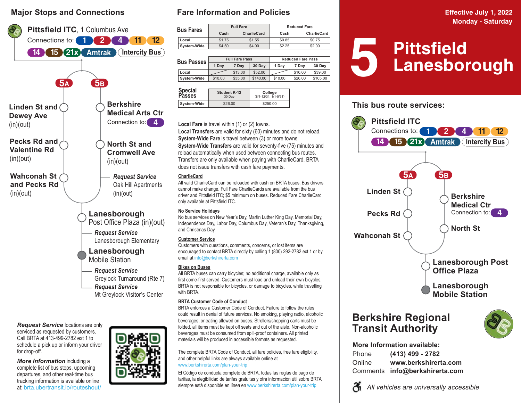

*Request Service* locations are only serviced as requested by customers. Call BRTA at 413-499-2782 ext 1 to schedule a pick up or inform your driver for drop-off.

*More Information* including a complete list of bus stops, upcoming departures, and other real-time bus tracking information is available online at: brta.ubertransit.io/routeshout/



### **Fare Information and Policies**

| <b>Bus Fares</b> |        | <b>Full Fare</b> | <b>Reduced Fare</b> |             |  |  |
|------------------|--------|------------------|---------------------|-------------|--|--|
|                  | Cash   | CharlieCard      | Cash                | CharlieCard |  |  |
| Local            | \$1.75 | \$1.55           | \$0.85              | \$0.75      |  |  |
| System-Wide      | \$4.50 | \$4.00           | \$2.25              | \$2.00      |  |  |

| <b>Bus Passes</b> |         | <b>Full Fare Pass</b> |          | <b>Reduced Fare Pass</b> |         |          |  |  |
|-------------------|---------|-----------------------|----------|--------------------------|---------|----------|--|--|
|                   | 1 Dav   | 7 Dav                 | 30 Dav   | 1 Dav                    | 7 Dav   | 30 Day   |  |  |
| Local             |         | \$13.00               | \$52.00  |                          | \$10.00 | \$39.00  |  |  |
| System-Wide       | \$10.00 | \$35.00               | \$140.00 | \$10.00                  | \$26.00 | \$105.00 |  |  |

| <b>Special</b> | <b>Student K-12</b> | College                     |
|----------------|---------------------|-----------------------------|
| Passes         | 30 Day              | $(8/1 - 12/31; 1/1 - 5/31)$ |
| System-Wide    | \$26.00             |                             |

#### **Local Fare** is travel within (1) or (2) towns.

**Local Transfers** are valid for sixty (60) minutes and do not reload. **System-Wide Fare** is travel between (3) or more towns. **System-Wide Transfers** are valid for seventy-five (75) minutes and reload automatically when used between connecting bus routes. Transfers are only available when paying with CharlieCard. BRTA does not issue transfers with cash fare payments.

#### **CharlieCard**

All valid CharlieCard can be reloaded with cash on BRTA buses. Bus drivers cannot make change. Full Fare CharlieCards are available from the bus driver and Pittsfield ITC; \$5 minimum on buses. Reduced Fare CharlieCard only available at Pittsfield ITC.

#### **No Service Holidays**

No bus services on New Year's Day, Martin Luther King Day, Memorial Day, Independence Day, Labor Day, Columbus Day, Veteran's Day, Thanksgiving, and Christmas Day.

#### **Customer Service**

Customers with questions, comments, concerns, or lost items are encouraged to contact BRTA directly by calling 1 (800) 292-2782 ext 1 or by email at info@berkshirerta.com

#### **Bikes on Buses**

All BRTA buses can carry bicycles; no additional charge, available only as first come-first served. Customers must load and unload their own bicycles. BRTA is not responsible for bicycles, or damage to bicycles, while travelling with BRTA.

#### **BRTA Customer Code of Conduct**

BRTA enforces a Customer Code of Conduct. Failure to follow the rules could result in denial of future services. No smoking, playing radio, alcoholic beverages, or eating allowed on buses. Strollers/shopping carts must be folded, all items must be kept off seats and out of the aisle. Non-alcoholic beverages must be consumed from spill-proof containers. All printed materials will be produced in accessible formats as requested.

The complete BRTA Code of Conduct, all fare policies, free fare eligibility, and other helpful links are always available online at www.berkshirerta.com/plan-your-trip

El Código de conducta completo de BRTA, todas las reglas de pago de tarifas, la elegibilidad de tarifas gratuitas y otra información útil sobre BRTA siempre está disponible en línea en www.berkshirerta.com/plan-your-trip

### **Effective July 1, 2022 Monday - Saturday**

# **5 <sup>C</sup> Pittsfield Lanesborough**

# **This bus route services:**



# **Berkshire Regional Transit Authority**



| Phone  | $(413)$ 499 - 2782             |
|--------|--------------------------------|
| Online | www.berkshirerta.com           |
|        | Comments info@berkshirerta.com |

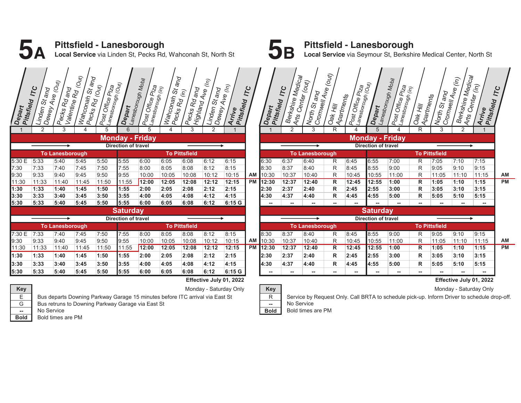

**-- Bold**

**Bold** Bold times are PM

**Key** Monday - Saturday Only **Key** Monday - Saturday Only

E Bus departs Downing Parkway Garage 15 minutes before ITC arrival via East St R Service by Request Only. Call BRTA to schedule pick-up. Inform Driver to schedule drop-off. G Bus retruns to Downing Parkway Garage via East St **--**

No Service

No Service **Bold in the Service** Bold times are PM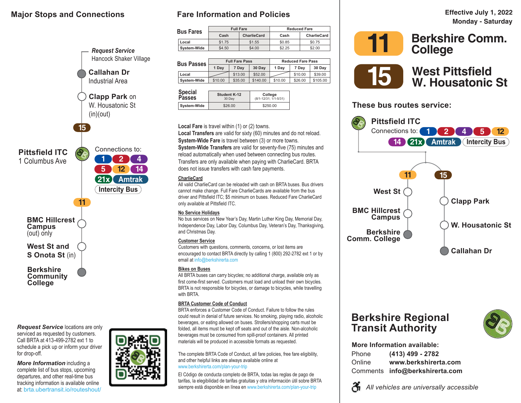

*Request Service* locations are only serviced as requested by customers. Call BRTA at 413-499-2782 ext 1 to schedule a pick up or inform your driver for drop-off.

*More Information* including a complete list of bus stops, upcoming departures, and other real-time bus tracking information is available online at: brta.ubertransit.io/routeshout/



# **Fare Information and Policies**

| <b>Bus Fares</b> |        | <b>Full Fare</b>   | <b>Reduced Fare</b> |             |  |
|------------------|--------|--------------------|---------------------|-------------|--|
|                  | Cash   | <b>CharlieCard</b> |                     | CharlieCard |  |
| Local            | \$1.75 | \$1.55             | \$0.85              | \$0.75      |  |
| System-Wide      | \$4.50 | \$4.00             | \$2.25              | \$2.00      |  |

| <b>Bus Passes</b> |             |         | <b>Full Fare Pass</b> |          | <b>Reduced Fare Pass</b> |         |          |  |
|-------------------|-------------|---------|-----------------------|----------|--------------------------|---------|----------|--|
|                   |             | 1 Dav   | 7 Dav                 | 30 Dav   | 1 Dav                    | 7 Dav   | 30 Day   |  |
|                   | Local       |         | \$13.00               | \$52.00  |                          | \$10.00 | \$39.00  |  |
|                   | System-Wide | \$10.00 | \$35.00               | \$140.00 | \$10.00                  | \$26.00 | \$105.00 |  |

| Special<br>Passes | <b>Student K-12</b><br>30 Day | College<br>$(8/1 - 12/31; 1/1 - 5/31)$ |
|-------------------|-------------------------------|----------------------------------------|
| System-Wide       | \$26.00                       | \$250.00                               |

**Local Fare** is travel within (1) or (2) towns.

**Local Transfers** are valid for sixty (60) minutes and do not reload. **System-Wide Fare** is travel between (3) or more towns. **System-Wide Transfers** are valid for seventy-five (75) minutes and reload automatically when used between connecting bus routes. Transfers are only available when paying with CharlieCard. BRTA does not issue transfers with cash fare payments.

#### **CharlieCard**

All valid CharlieCard can be reloaded with cash on BRTA buses. Bus drivers cannot make change. Full Fare CharlieCards are available from the bus driver and Pittsfield ITC; \$5 minimum on buses. Reduced Fare CharlieCard only available at Pittsfield ITC.

#### **No Service Holidays**

No bus services on New Year's Day, Martin Luther King Day, Memorial Day, Independence Day, Labor Day, Columbus Day, Veteran's Day, Thanksgiving, and Christmas Day.

#### **Customer Service**

Customers with questions, comments, concerns, or lost items are encouraged to contact BRTA directly by calling 1 (800) 292-2782 ext 1 or by email at info@berkshirerta.com

#### **Bikes on Buses**

All BRTA buses can carry bicycles; no additional charge, available only as first come-first served. Customers must load and unload their own bicycles. BRTA is not responsible for bicycles, or damage to bicycles, while travelling with **BRTA** 

#### **BRTA Customer Code of Conduct**

BRTA enforces a Customer Code of Conduct. Failure to follow the rules could result in denial of future services. No smoking, playing radio, alcoholic beverages, or eating allowed on buses. Strollers/shopping carts must be folded, all items must be kept off seats and out of the aisle. Non-alcoholic beverages must be consumed from spill-proof containers. All printed materials will be produced in accessible formats as requested.

The complete BRTA Code of Conduct, all fare policies, free fare eligibility, and other helpful links are always available online at www.berkshirerta.com/plan-your-trip

El Código de conducta completo de BRTA, todas las reglas de pago de tarifas, la elegibilidad de tarifas gratuitas y otra información útil sobre BRTA siempre está disponible en línea en www.berkshirerta.com/plan-your-trip

**Effective July 1, 2022 Monday - Saturday** 



# **Berkshire Comm. College**



**West Pittsfield W. Housatonic St**

**These bus routes service:**



# **Berkshire Regional Transit Authority**



| Phone  | (413) 499 - 2782               |
|--------|--------------------------------|
| Online | www.berkshirerta.com           |
|        | Comments info@berkshirerta.com |

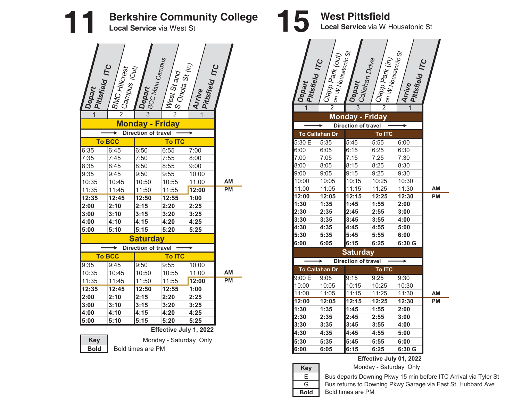|                             |                                                                     |                            | <b>Local Service via West St</b>                    |                          | <b>Berkshire Community College</b> |                                            |                                                                         | <b>West Pittsfield</b><br><b>Local Service via W Housat</b> |                                                            |                          |
|-----------------------------|---------------------------------------------------------------------|----------------------------|-----------------------------------------------------|--------------------------|------------------------------------|--------------------------------------------|-------------------------------------------------------------------------|-------------------------------------------------------------|------------------------------------------------------------|--------------------------|
| <b>Pittsfield</b><br>Depart | ITC<br><b>BMC Hillcrest</b><br>$\mathsf{Can}_{\mathsf{PPLS}}$ (Out) | IBCC Main Campus<br>Depart | $\left s\right\rangle$ Onota St (In)<br>West St and | Pittsfield ITC<br>Arrive |                                    | Pittsfield ITC<br>Depart<br>$\overline{1}$ | ' <sup>  On W.Housatonic St</sup><br>Clapp Park (out)<br>$\overline{2}$ | Callahan Drive<br>Depart<br>$\overline{3}$                  | '  on W.Housatonic St<br>Clapp Park (in)<br>$\overline{2}$ | Arrive<br>$\overline{1}$ |
|                             | $\overline{2}$                                                      | $\overline{3}$             | $\overline{2}$                                      | $\mathbf{1}$             |                                    |                                            |                                                                         | <b>Monday - Friday</b>                                      |                                                            |                          |
|                             |                                                                     | <b>Monday - Friday</b>     |                                                     |                          |                                    |                                            |                                                                         | <b>Direction of travel</b>                                  |                                                            |                          |
|                             |                                                                     | <b>Direction of travel</b> |                                                     |                          |                                    |                                            | To Callahan Dr                                                          |                                                             | To ITC                                                     |                          |
|                             | <b>To BCC</b>                                                       |                            | <b>To ITC</b>                                       |                          |                                    | 5:30 E                                     | 5:35                                                                    | 5:45                                                        | 5:55                                                       | 6:00                     |
| 6:35                        | 6:45                                                                | 6:50                       | 6:55                                                | 7:00                     |                                    | 6:00                                       | 6:05                                                                    | 6:15                                                        | 6:25                                                       | 6:30                     |
| 7:35                        | 7:45                                                                | 7:50                       | 7:55                                                | 8:00                     |                                    | 7:00                                       | 7:05                                                                    | 7:15                                                        | 7:25                                                       | 7:30                     |
| 8:35                        | 8:45                                                                | 8:50                       | 8:55                                                | 9:00                     |                                    | 8:00                                       | 8:05                                                                    | 8:15                                                        | 8:25                                                       | 8:30                     |
| 9:35                        | 9:45                                                                | 9:50                       | 9:55                                                | 10:00                    |                                    | 9:00                                       | 9:05                                                                    | 9:15                                                        | 9:25                                                       | 9:30                     |
| 10:35                       | 10:45                                                               | 10:50                      | 10:55                                               | 11:00                    | AM                                 | 10:00                                      | 10:05                                                                   | 10:15                                                       | 10:25                                                      | 10:30                    |
| 11:35                       | 11:45                                                               | 11:50                      | 11:55                                               | 12:00                    | <b>PM</b>                          | 11:00                                      | 11:05                                                                   | 11:15                                                       | 11:25                                                      | 11:30                    |
| 12:35                       | 12:45                                                               | 12:50                      | 12:55                                               | 1:00                     |                                    | 12:00                                      | 12:05                                                                   | 12:15                                                       | 12:25                                                      | 12:3                     |
| 2:00                        | 2:10                                                                | 2:15                       | 2:20                                                | 2:25                     |                                    | 1:30                                       | 1:35                                                                    | 1:45                                                        | 1:55                                                       | 2:00                     |
| 3:00                        | 3:10                                                                | 3:15                       | 3:20                                                | 3:25                     |                                    | 2:30                                       | 2:35                                                                    | 2:45                                                        | 2:55                                                       | 3:00                     |
| 4:00                        | 4:10                                                                | 4:15                       | 4:20                                                | 4:25                     |                                    | 3:30                                       | 3:35                                                                    | 3:45                                                        | 3:55                                                       | 4:00                     |
| 5:00                        | 5:10                                                                | 5:15                       | 5:20                                                | 5:25                     |                                    | 4:30                                       | 4:35                                                                    | 4:45                                                        | 4:55                                                       | 5:00                     |
|                             |                                                                     | <b>Saturday</b>            |                                                     |                          |                                    | 5:30                                       | 5:35                                                                    | 5:45                                                        | 5:55                                                       | 6:00                     |
|                             | →                                                                   | <b>Direction of travel</b> |                                                     |                          |                                    | 6:00                                       | 6:05                                                                    | 6:15                                                        | 6:25                                                       | 6:30                     |
|                             | <b>To BCC</b>                                                       |                            | <b>To ITC</b>                                       |                          |                                    |                                            |                                                                         | <b>Saturday</b>                                             |                                                            |                          |
| 9:35                        | 9:45                                                                | 9:50                       | 9:55                                                | 10:00                    |                                    |                                            |                                                                         | <b>Direction of travel</b>                                  |                                                            |                          |
| 10:35                       | 10:45                                                               | 10:50                      | 10:55                                               | 11:00                    | AM                                 |                                            | <b>To Callahan Dr</b>                                                   |                                                             | To ITC                                                     |                          |
| 11:35                       | 11:45                                                               | 11:50                      | 11:55                                               | 12:00                    | <b>PM</b>                          | 9:00 E                                     | 9:05                                                                    | 9:15                                                        | 9:25                                                       | 9:30                     |
| 12:35                       | 12:45                                                               | 12:50                      | 12:55                                               | 1:00                     |                                    | 10:00                                      | 10:05                                                                   | 10:15                                                       | 10:25                                                      | 10:30                    |
| 2:00                        | 2:10                                                                | 2:15                       | 2:20                                                | 2:25                     |                                    | 11:00                                      | 11:05                                                                   | 11:15                                                       | 11:25                                                      | 11:30                    |
| 3:00                        | 3:10                                                                | 3:15                       | 3:20                                                | 3:25                     |                                    | 12:00                                      | 12:05                                                                   | 12:15                                                       | 12:25                                                      | 12:3                     |
| 4:00                        | 4:10                                                                | 4:15                       | 4:20                                                | 4:25                     |                                    | 1:30                                       | 1:35                                                                    | 1:45                                                        | 1:55                                                       | 2:00                     |
| 5:00                        | 5:10                                                                | 5:15                       | 5:20                                                | 5:25                     |                                    | 2:30                                       | 2:35                                                                    | 2:45                                                        | 2:55                                                       | 3:00                     |
|                             |                                                                     |                            |                                                     | Effective July 1, 2022   |                                    | 3:30                                       | 3:35                                                                    | 3:45                                                        | 3:55                                                       | 4:00                     |
|                             |                                                                     |                            |                                                     | Monday - Saturday Only   |                                    | 4:30                                       | 4:35                                                                    | 4:45                                                        | 4:55                                                       | 5:00                     |
| <b>Key</b>                  |                                                                     |                            |                                                     |                          |                                    | 5:30                                       | 5:35                                                                    | 5:45                                                        | 5:55                                                       | 6:00                     |
| <b>Bold</b>                 |                                                                     | Bold times are PM          |                                                     |                          |                                    | 6:00                                       | 6:05                                                                    | 6:15                                                        | 6:25                                                       | 6:30                     |

**Depart**  Callahan **st Pitt**<br>al Servic<br>  $\begin{pmatrix} \frac{1}{2} & \frac{1}{2} & \frac{1}{2} \\ \frac{1}{2} & \frac{1}{2} & \frac{1}{2} \\ \frac{1}{2} & \frac{1}{2} & \frac{1}{2} \\ \frac{1}{2} & \frac{1}{2} & \frac{1}{2} \end{pmatrix}$ Housato<br>  $\left\{\n\begin{array}{c}\n\text{Houx} \\
\text{Houx} \\
\text{Houx} \\
\text{Houx} \\
\text{Houx} \\
\text{Houx} \\
\text{Houx} \\
\text{Houx} \\
\text{Houx} \\
\text{Houx} \\
\text{Houx} \\
\text{Houx} \\
\text{Houx} \\
\text{Houx} \\
\text{Houx} \\
\text{Houx} \\
\text{Houx} \\
\text{Houx} \\
\text{Houx} \\
\text{Houx} \\
\text{Houx} \\
\text{Houx} \\
\text{Houx} \\
\text{Houx} \\
\text{Houx$ **155 Pittsfield**<br>**Pittsfield** W Housatonic St (House) **Arrive Pittsfield ITC**  $\eta$ c St Drive Park Clapp<br>Clapp on 1 2 3 2 1 **Monday - Friday Direction of travel**  $\rightarrow$ **To Callahan Dr To ITC** 5:45 5:55 6:00<br>6:15 6:25 6:30 6:15 6:25 7:00 7:05 7:15 7:25 7:30 8:00 8:05 8:15 8:25 8:30 9:00 9:05 9:15 9:25 9:30 10:15 10:25 10:30 11:15 11:25 11:30 **AM**<br>12:15 12:25 12:30 **PM 12:00 12:05 12:15 12:25 12:30 PM 1:30 1:35 1:45 1:55 2:00 2:30 2:35 2:45 2:55 3:00 3:30 3:35 3:45 3:55 4:00 4:30 4:35 4:45 4:55 5:00 5:30 5:35 5:45 5:55 6:00 6:00 6:05 6:15 6:25 6:30 G Saturday Direction of travel**  $\rightarrow$ **To Callahan Dr To ITC** 9:15 9:25 9:30<br>10:15 10:25 10:30 10:15 10:25 11:00 11:05 11:15 11:25 11:30 **AM 12:00 12:05 12:15 12:25 12:30 PM 1:30 1:35 1:45 1:55 2:00 2:30 2:35 2:45 2:55 3:00 3:30 3:35 3:45 3:55 4:00**

> **6:00 6:05 6:15 6:25 6:30 G Effective July 01, 2022**



E Bus departs Downing Pkwy 15 min before ITC Arrival via Tyler St G Bus returns to Downing Pkwy Garage via East St, Hubbard Ave Bold times are PM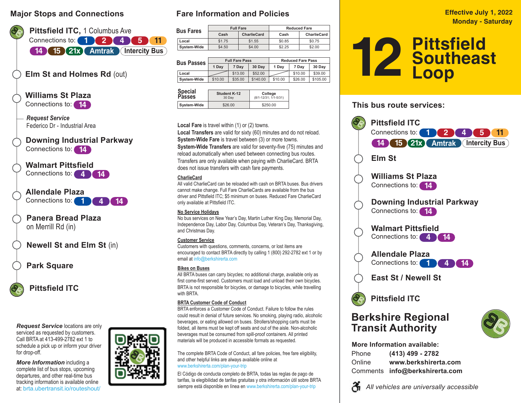

# **Williams St Plaza**

**14** Connections to:

*Request Service*  Federico Dr - Industrial Area

### **14** Connections to: **Downing Industrial Parkway**

**4** Connections to: **14 Walmart Pittsfield**

**Allendale Plaza** Connections to: **1 4 14**

**Panera Bread Plaza**  on Merrill Rd (in)

**Newell St and Elm St** (in)

**Park Square**

**Pittsfield ITC**

*Request Service* locations are only serviced as requested by customers. Call BRTA at 413-499-2782 ext 1 to schedule a pick up or inform your driver for drop-off.

*More Information* including a complete list of bus stops, upcoming departures, and other real-time bus tracking information is available online at: brta.ubertransit.io/routeshout/



# **Fare Information and Policies**

| <b>Bus Fares</b> |             |        | <b>Full Fare</b>    | <b>Reduced Fare</b> |             |  |
|------------------|-------------|--------|---------------------|---------------------|-------------|--|
|                  |             | Cash   | CharlieCard<br>Cash |                     | CharlieCard |  |
|                  | Local       | \$1.75 | \$1.55              | \$0.85              | \$0.75      |  |
|                  | System-Wide | \$4.50 | \$4.00              | \$2.25              | \$2.00      |  |

| <b>Bus Passes</b> |         | <b>Full Fare Pass</b> |          |         | <b>Reduced Fare Pass</b> |          |
|-------------------|---------|-----------------------|----------|---------|--------------------------|----------|
|                   | 1 Dav   | 7 Dav                 | 30 Dav   | 1 Dav   | 30 Day                   |          |
| Local             |         | \$13.00               | \$52.00  |         | \$10.00                  | \$39.00  |
| System-Wide       | \$10.00 | \$35.00               | \$140.00 | \$10.00 | \$26.00                  | \$105.00 |

| <b>Special</b> | <b>Student K-12</b> | College                     |
|----------------|---------------------|-----------------------------|
| <b>Passes</b>  | 30 Day              | $(8/1 - 12/31; 1/1 - 5/31)$ |
| System-Wide    | \$26.00             |                             |

**Local Fare** is travel within (1) or (2) towns.

**Local Transfers** are valid for sixty (60) minutes and do not reload. **System-Wide Fare** is travel between (3) or more towns. **System-Wide Transfers** are valid for seventy-five (75) minutes and reload automatically when used between connecting bus routes. Transfers are only available when paying with CharlieCard. BRTA does not issue transfers with cash fare payments.

#### **CharlieCard**

All valid CharlieCard can be reloaded with cash on BRTA buses. Bus drivers cannot make change. Full Fare CharlieCards are available from the bus driver and Pittsfield ITC; \$5 minimum on buses. Reduced Fare CharlieCard only available at Pittsfield ITC.

#### **No Service Holidays**

No bus services on New Year's Day, Martin Luther King Day, Memorial Day, Independence Day, Labor Day, Columbus Day, Veteran's Day, Thanksgiving, and Christmas Day.

#### **Customer Service**

Customers with questions, comments, concerns, or lost items are encouraged to contact BRTA directly by calling 1 (800) 292-2782 ext 1 or by email at info@berkshirerta.com

#### **Bikes on Buses**

All BRTA buses can carry bicycles; no additional charge, available only as first come-first served. Customers must load and unload their own bicycles. BRTA is not responsible for bicycles, or damage to bicycles, while travelling with BRTA.

#### **BRTA Customer Code of Conduct**

BRTA enforces a Customer Code of Conduct. Failure to follow the rules could result in denial of future services. No smoking, playing radio, alcoholic beverages, or eating allowed on buses. Strollers/shopping carts must be folded, all items must be kept off seats and out of the aisle. Non-alcoholic beverages must be consumed from spill-proof containers. All printed materials will be produced in accessible formats as requested.

The complete BRTA Code of Conduct, all fare policies, free fare eligibility, and other helpful links are always available online at www.berkshirerta.com/plan-your-trip

El Código de conducta completo de BRTA, todas las reglas de pago de tarifas, la elegibilidad de tarifas gratuitas y otra información útil sobre BRTA siempre está disponible en línea en www.berkshirerta.com/plan-your-trip

**Effective July 1, 2022 Monday - Saturday** 



**This bus route services:**



| Phone  | (413) 499 - 2782               |
|--------|--------------------------------|
| Online | www.berkshirerta.com           |
|        | Comments info@berkshirerta.com |

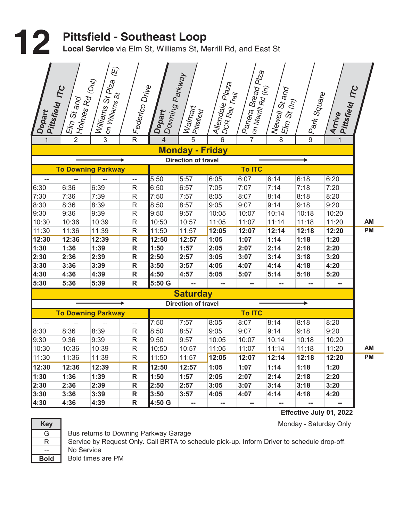|                |                              | <b>Pittsfield - Southeast Loop</b><br>Local Service via Elm St, Williams St, Merrill Rd, and East St      |                          |                           |                                     |                                   |                                                                     |                                                                                                                   |                |                          |           |
|----------------|------------------------------|-----------------------------------------------------------------------------------------------------------|--------------------------|---------------------------|-------------------------------------|-----------------------------------|---------------------------------------------------------------------|-------------------------------------------------------------------------------------------------------------------|----------------|--------------------------|-----------|
| Depart         | Pittsfield ITC<br>Elm St and | Williams St Plza (E)<br>' Holmes Ra <sub>(Out)</sub><br>'<br>$\log \frac{N_{\text{min}}}{N_{\text{max}}}$ | Federico Drive           | Downing Parkway<br>Depart | <b>Walmart</b><br><b>Pittsfield</b> | Allendale Plaza<br>DCR Rail Trail | Panera Bread Pi <sub>Ca</sub><br>I <mark>lon Merrill Rd (In)</mark> | Newell St and<br>$\overline{\mathsf{E}}\mathsf{Im}\, \mathsf{S} t\, \mathsf{I}_\mathsf{I}(\mathsf{I}_\mathsf{I})$ | Park Square    | Pittsfield ITC<br>Arrive |           |
| $\overline{1}$ | $\overline{2}$               | $\overline{3}$                                                                                            | $\overline{\mathsf{R}}$  | 4                         | $\overline{5}$                      | $\overline{6}$                    | $\overline{7}$                                                      | $\overline{8}$                                                                                                    | $\overline{9}$ | $\overline{1}$           |           |
|                |                              |                                                                                                           |                          |                           | <b>Monday - Friday</b>              |                                   |                                                                     |                                                                                                                   |                |                          |           |
|                |                              |                                                                                                           |                          |                           | <b>Direction of travel</b>          |                                   |                                                                     |                                                                                                                   |                |                          |           |
|                |                              | <b>To Downing Parkway</b>                                                                                 |                          |                           |                                     |                                   | <b>To ITC</b>                                                       |                                                                                                                   |                |                          |           |
|                |                              |                                                                                                           | $\overline{\phantom{a}}$ | 5:50                      | 5:57                                | 6:05                              | 6:07                                                                | 6:14                                                                                                              | 6:18           | 6:20                     |           |
| 6:30           | 6:36                         | 6:39                                                                                                      | $\mathsf{R}$             | 6:50                      | 6:57                                | 7:05                              | 7:07                                                                | 7:14                                                                                                              | 7:18           | 7:20                     |           |
| 7:30           | 7:36                         | 7:39                                                                                                      | $\mathsf{R}$             | 7:50                      | 7:57                                | 8:05                              | 8:07                                                                | 8:14                                                                                                              | 8:18           | 8:20                     |           |
| 8:30           | 8:36                         | 8:39                                                                                                      | $\mathsf R$              | 8:50                      | 8:57                                | 9:05                              | 9:07                                                                | 9:14                                                                                                              | 9:18           | 9:20                     |           |
| 9:30           | 9:36                         | 9:39                                                                                                      | $\mathsf{R}$             | 9:50                      | 9:57                                | 10:05                             | 10:07                                                               | 10:14                                                                                                             | 10:18          | 10:20                    |           |
| 10:30          | 10:36                        | 10:39                                                                                                     | $\mathsf{R}$             | 10:50                     | 10:57                               | 11:05                             | 11:07                                                               | 11:14                                                                                                             | 11:18          | 11:20                    | AM        |
| 11:30          | 11:36                        | 11:39                                                                                                     | ${\sf R}$                | 11:50                     | 11:57                               | 12:05                             | 12:07                                                               | 12:14                                                                                                             | 12:18          | 12:20                    | <b>PM</b> |
| 12:30          | 12:36                        | 12:39                                                                                                     | $\mathsf{R}$             | 12:50                     | 12:57                               | 1:05                              | 1:07                                                                | 1:14                                                                                                              | 1:18           | 1:20                     |           |
| 1:30           | 1:36                         | 1:39                                                                                                      | $\mathsf{R}$             | 1:50                      | 1:57                                | 2:05                              | 2:07                                                                | 2:14                                                                                                              | 2:18           | 2:20                     |           |
| 2:30           | 2:36                         | 2:39                                                                                                      | $\mathsf{R}$             | 2:50                      | 2:57                                | 3:05                              | 3:07                                                                | 3:14                                                                                                              | 3:18           | 3:20                     |           |
| 3:30           | 3:36                         | 3:39                                                                                                      | $\mathsf{R}$             | 3:50                      | 3:57                                | 4:05                              | 4:07                                                                | 4:14                                                                                                              | 4:18           | 4:20                     |           |
| 4:30           | 4:36                         | 4:39                                                                                                      | $\mathsf{R}$             | 4:50                      | 4:57                                | 5:05                              | 5:07                                                                | 5:14                                                                                                              | 5:18           | 5:20                     |           |
| 5:30           | 5:36                         | 5:39                                                                                                      | $\mathsf{R}$             | 5:50 G                    |                                     |                                   |                                                                     |                                                                                                                   |                |                          |           |
|                |                              |                                                                                                           |                          |                           | <b>Saturday</b>                     |                                   |                                                                     |                                                                                                                   |                |                          |           |
|                |                              |                                                                                                           |                          |                           | <b>Direction of travel</b>          |                                   |                                                                     |                                                                                                                   |                |                          |           |
|                |                              | <b>To Downing Parkway</b>                                                                                 |                          |                           |                                     |                                   | <b>To ITC</b>                                                       |                                                                                                                   |                |                          |           |
|                |                              |                                                                                                           | $\overline{\phantom{a}}$ | 7:50                      | 7:57                                | 8:05                              | 8:07                                                                | 8:14                                                                                                              | 8:18           | 8:20                     |           |
| 8:30           | 8:36                         | 8:39                                                                                                      | R                        | 8:50                      | 8:57                                | 9:05                              | 9:07                                                                | 9:14                                                                                                              | 9:18           | 9:20                     |           |
| 9:30           | 9:36                         | 9:39                                                                                                      | R                        | 9:50                      | 9:57                                | 10:05                             | 10:07                                                               | 10:14                                                                                                             | 10:18          | 10:20                    |           |
| 10:30          | 10:36                        | 10:39                                                                                                     | R                        | 10:50                     | 10:57                               | 11:05                             | 11:07                                                               | 11:14                                                                                                             | 11:18          | 11:20                    | AM        |
| 11:30          | 11:36                        | 11:39                                                                                                     | R                        | 11:50                     | 11:57                               | 12:05                             | 12:07                                                               | 12:14                                                                                                             | 12:18          | 12:20                    | PM        |
| 12:30          | 12:36                        | 12:39                                                                                                     | R                        | 12:50                     | 12:57                               | 1:05                              | 1:07                                                                | 1:14                                                                                                              | 1:18           | 1:20                     |           |
| 1:30           | 1:36                         | 1:39                                                                                                      | R                        | 1:50                      | 1:57                                | 2:05                              | 2:07                                                                | 2:14                                                                                                              | 2:18           | 2:20                     |           |
| 2:30           | 2:36                         | 2:39                                                                                                      | $\mathsf{R}$             | 2:50                      | 2:57                                | 3:05                              | 3:07                                                                | 3:14                                                                                                              | 3:18           | 3:20                     |           |
| 3:30           | 3:36                         | 3:39                                                                                                      | R                        | 3:50                      | 3:57                                | 4:05                              | 4:07                                                                | 4:14                                                                                                              | 4:18           | 4:20                     |           |
| 4:30           | 4:36                         | 4:39                                                                                                      | R                        | 4:50 G                    | $\sim$                              | $\overline{\phantom{a}}$          | $\overline{\phantom{a}}$                                            | $\overline{\phantom{a}}$                                                                                          | --             | $\sim$                   |           |

**Effective July 01, 2022**

**Key Key** Monday - Saturday Only



Bus returns to Downing Parkway Garage

No Service Bold times are PM Service by Request Only. Call BRTA to schedule pick-up. Inform Driver to schedule drop-off.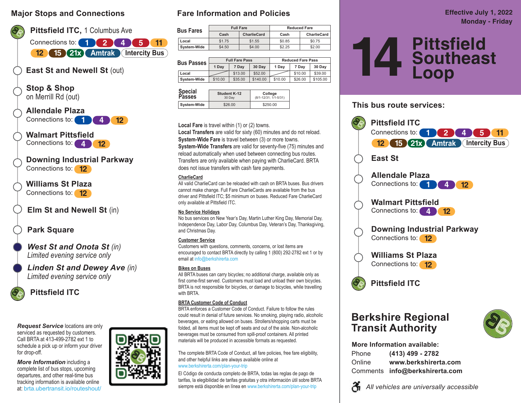

on Merrill Rd (out)

# **Allendale Plaza**

Connections to: **1 4 12**

**Walmart Pittsfield**

**4** Connections to: **12**

# **Downing Industrial Parkway**

Connections to: **12**

**Williams St Plaza** Connections to: **12**

**Elm St and Newell St** (in)

# **Park Square**

*West St and Onota St (in) Limited evening service only*

*Linden St and Dewey Ave (in) Limited evening service only*

**Pittsfield ITC**

*Request Service* locations are only serviced as requested by customers. Call BRTA at 413-499-2782 ext 1 to schedule a pick up or inform your driver for drop-off.

*More Information* including a complete list of bus stops, upcoming departures, and other real-time bus tracking information is available online at: brta.ubertransit.io/routeshout/



# **Fare Information and Policies**

| <b>Bus Fares</b> |             |        | <b>Full Fare</b>   | <b>Reduced Fare</b> |             |  |
|------------------|-------------|--------|--------------------|---------------------|-------------|--|
|                  |             | Cash   | <b>CharlieCard</b> | Cash                | CharlieCard |  |
|                  | Local       | \$1.75 | \$1.55             | \$0.85              | \$0.75      |  |
|                  | System-Wide | \$4.50 | \$4.00             | \$2.25              | \$2.00      |  |

| <b>Bus Passes</b> |         | <b>Full Fare Pass</b> |          | <b>Reduced Fare Pass</b> |         |          |  |  |
|-------------------|---------|-----------------------|----------|--------------------------|---------|----------|--|--|
|                   | 1 Dav   | 7 Dav                 | 30 Day   | 1 Dav                    | 7 Dav   | 30 Dav   |  |  |
| Local             |         | \$13.00               | \$52.00  |                          | \$10.00 | \$39.00  |  |  |
| System-Wide       | \$10.00 | \$35.00               | \$140.00 | \$10.00                  | \$26.00 | \$105.00 |  |  |

| Special<br>Passes | Student K-12<br>30 Day | College<br>(8/1-12/31; 1/1-5/31) |
|-------------------|------------------------|----------------------------------|
| System-Wide       | \$26.00                | \$250.00                         |

**Local Fare** is travel within (1) or (2) towns. **Local Transfers** are valid for sixty (60) minutes and do not reload. **System-Wide Fare** is travel between (3) or more towns. **System-Wide Transfers** are valid for seventy-five (75) minutes and reload automatically when used between connecting bus routes. Transfers are only available when paying with CharlieCard. BRTA does not issue transfers with cash fare payments.

#### **CharlieCard**

All valid CharlieCard can be reloaded with cash on BRTA buses. Bus drivers cannot make change. Full Fare CharlieCards are available from the bus driver and Pittsfield ITC; \$5 minimum on buses. Reduced Fare CharlieCard only available at Pittsfield ITC.

#### **No Service Holidays**

No bus services on New Year's Day, Martin Luther King Day, Memorial Day, Independence Day, Labor Day, Columbus Day, Veteran's Day, Thanksgiving, and Christmas Day.

#### **Customer Service**

Customers with questions, comments, concerns, or lost items are encouraged to contact BRTA directly by calling 1 (800) 292-2782 ext 1 or by email at info@berkshirerta.com

#### **Bikes on Buses**

All BRTA buses can carry bicycles; no additional charge, available only as first come-first served. Customers must load and unload their own bicycles. BRTA is not responsible for bicycles, or damage to bicycles, while travelling with **BRTA** 

#### **BRTA Customer Code of Conduct**

BRTA enforces a Customer Code of Conduct. Failure to follow the rules could result in denial of future services. No smoking, playing radio, alcoholic beverages, or eating allowed on buses. Strollers/shopping carts must be folded, all items must be kept off seats and out of the aisle. Non-alcoholic beverages must be consumed from spill-proof containers. All printed materials will be produced in accessible formats as requested.

The complete BRTA Code of Conduct, all fare policies, free fare eligibility, and other helpful links are always available online at www.berkshirerta.com/plan-your-trip

El Código de conducta completo de BRTA, todas las reglas de pago de tarifas, la elegibilidad de tarifas gratuitas y otra información útil sobre BRTA siempre está disponible en línea en www.berkshirerta.com/plan-your-trip

**Effective July 1, 2022 Monday - Friday**

# **14 Southeast Southeast Loop**

**This bus route services:**



# **Berkshire Regional Transit Authority**



| Phone    | (413) 499 - 2782      |
|----------|-----------------------|
| Online   | www.berkshirerta.com  |
| Comments | info@berkshirerta.com |

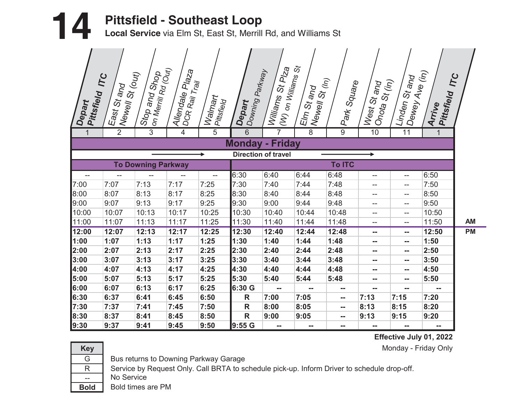|                                          |                                                                   |                                                                     |                                                     | <b>Pittsfield - Southeast Loop</b><br>Local Service via Elm St, East St, Merrill Rd, and Williams St |                                             |                                                                                     |                                                |                                           |                                    |                                                    |                                          |           |
|------------------------------------------|-------------------------------------------------------------------|---------------------------------------------------------------------|-----------------------------------------------------|------------------------------------------------------------------------------------------------------|---------------------------------------------|-------------------------------------------------------------------------------------|------------------------------------------------|-------------------------------------------|------------------------------------|----------------------------------------------------|------------------------------------------|-----------|
| Pittsfield ITC<br>Depart<br>$\mathbf{1}$ | Newell St (out)<br>$\epsilon_{\rm{ast}}$ St and<br>$\overline{2}$ | Stop and Shop<br>J <sup>on Merrill Rd (Out)</sup><br>$\overline{3}$ | Allendale Plaza<br>DCR Rail Trail<br>$\overline{4}$ | <b>Walmart</b><br><b>Pittsfield</b><br>$\overline{5}$                                                | Downing Parkway<br>Depart<br>$\overline{6}$ | $\ (\mathcal{W})$ on Williams St<br> Williams St Pl <sub>Za</sub><br>$\overline{7}$ | Newell St (In)<br>Elm St and<br>$\overline{8}$ | Park Squ <sub>are</sub><br>$\overline{9}$ | Onota St (in)<br>West St and<br>10 | Dewey Ave (in)<br>Linden St and<br>$\overline{11}$ | Pittsfield ITC<br>Arrive<br>$\mathbf{1}$ |           |
|                                          |                                                                   |                                                                     |                                                     |                                                                                                      |                                             | <b>Monday - Friday</b>                                                              |                                                |                                           |                                    |                                                    |                                          |           |
|                                          |                                                                   |                                                                     |                                                     |                                                                                                      |                                             | <b>Direction of travel</b>                                                          |                                                |                                           |                                    |                                                    |                                          |           |
|                                          |                                                                   | <b>To Downing Parkway</b>                                           |                                                     |                                                                                                      |                                             |                                                                                     |                                                | To ITC                                    |                                    |                                                    |                                          |           |
|                                          |                                                                   |                                                                     |                                                     |                                                                                                      | 6:30                                        | 6:40                                                                                | 6:44                                           | 6:48                                      | --                                 | $\overline{\phantom{m}}$                           | 6:50                                     |           |
| 7:00                                     | 7:07                                                              | 7:13                                                                | 7:17                                                | 7:25                                                                                                 | 7:30                                        | 7:40                                                                                | 7:44                                           | 7:48                                      | $- -$                              | --                                                 | 7:50                                     |           |
| 8:00                                     | 8:07                                                              | 8:13                                                                | 8:17                                                | 8:25                                                                                                 | 8:30                                        | 8:40                                                                                | 8:44                                           | 8:48                                      | --                                 | --                                                 | 8:50                                     |           |
| 9:00                                     | 9:07                                                              | 9:13                                                                | 9:17                                                | 9:25                                                                                                 | 9:30                                        | 9:00                                                                                | 9:44                                           | 9:48                                      | --                                 | $\overline{\phantom{a}}$                           | 9:50                                     |           |
| 10:00                                    | 10:07                                                             | 10:13                                                               | 10:17                                               | 10:25                                                                                                | 10:30                                       | 10:40                                                                               | 10:44                                          | 10:48                                     | --                                 | --                                                 | 10:50                                    |           |
| 11:00                                    | 11:07                                                             | 11:13                                                               | 11:17                                               | 11:25                                                                                                | 11:30                                       | 11:40                                                                               | 11:44                                          | 11:48                                     | $\overline{\phantom{m}}$           | $\overline{\phantom{a}}$                           | 11:50                                    | <b>AM</b> |
| 12:00                                    | 12:07                                                             | 12:13                                                               | 12:17                                               | 12:25                                                                                                | 12:30                                       | 12:40                                                                               | 12:44                                          | 12:48                                     | $\sim$                             | --                                                 | 12:50                                    | <b>PM</b> |
| 1:00                                     | 1:07                                                              | 1:13                                                                | 1:17                                                | 1:25                                                                                                 | 1:30                                        | 1:40                                                                                | 1:44                                           | 1:48                                      | --                                 | --                                                 | 1:50                                     |           |
| 2:00                                     | 2:07                                                              | 2:13                                                                | 2:17                                                | 2:25                                                                                                 | 2:30                                        | 2:40                                                                                | 2:44                                           | 2:48                                      | --                                 | --                                                 | 2:50                                     |           |
| 3:00                                     | 3:07                                                              | 3:13                                                                | 3:17                                                | 3:25                                                                                                 | 3:30                                        | 3:40                                                                                | 3:44                                           | 3:48                                      | --                                 | --                                                 | 3:50                                     |           |
| 4:00                                     | 4:07                                                              | 4:13                                                                | 4:17                                                | 4:25                                                                                                 | 4:30                                        | 4:40                                                                                | 4:44                                           | 4:48                                      | --                                 | --                                                 | 4:50                                     |           |
| 5:00                                     | 5:07                                                              | 5:13                                                                | 5:17                                                | 5:25                                                                                                 | 5:30                                        | 5:40                                                                                | 5:44                                           | 5:48                                      | $\sim$                             | --                                                 | 5:50                                     |           |
| 6:00                                     | 6:07                                                              | 6:13                                                                | 6:17                                                | 6:25                                                                                                 | 6:30 G                                      |                                                                                     |                                                | --                                        | --                                 | --                                                 |                                          |           |
| 6:30                                     | 6:37                                                              | 6:41                                                                | 6:45                                                | 6:50                                                                                                 | $\mathsf{R}$                                | 7:00                                                                                | 7:05                                           | --                                        | 7:13                               | 7:15                                               | 7:20                                     |           |
| 7:30                                     | 7:37                                                              | 7:41                                                                | 7:45                                                | 7:50                                                                                                 | $\mathsf{R}$                                | 8:00                                                                                | 8:05                                           | --                                        | 8:13                               | 8:15                                               | 8:20                                     |           |
| 8:30                                     | 8:37                                                              | 8:41                                                                | 8:45                                                | 8:50                                                                                                 | $\mathsf{R}$                                | 9:00                                                                                | 9:05                                           | --                                        | 9:13                               | 9:15                                               | 9:20                                     |           |
| 9:30                                     | 9:37                                                              | 9:41                                                                | 9:45                                                | 9:50                                                                                                 | 9:55G                                       |                                                                                     |                                                | --                                        |                                    |                                                    |                                          |           |

**Effective July 01, 2022**

Monday - Friday Only

**Key** -- **Bold**

G Bus returns to Downing Parkway Garage R Service by Request Only. Call BRTA to schedule pick-up. Inform Driver to schedule drop-off.

No Service

Bold times are PM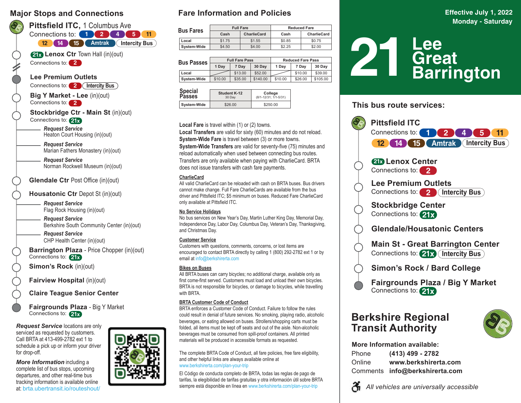

**21x** Connections to:**Fairgrounds Plaza** - Big Y Market

*Request Service* locations are only serviced as requested by customers. Call BRTA at 413-499-2782 ext 1 to schedule a pick up or inform your driver for drop-off.

*More Information* including a complete list of bus stops, upcoming departures, and other real-time bus tracking information is available online at: brta.ubertransit.io/routeshout/



# **Fare Information and Policies**

| <b>Bus Fares</b> |             |        | <b>Full Fare</b>   | <b>Reduced Fare</b> |             |  |  |
|------------------|-------------|--------|--------------------|---------------------|-------------|--|--|
|                  |             | Cash   | <b>CharlieCard</b> | Cash                | CharlieCard |  |  |
|                  | Local       | \$1.75 | \$1.55             | \$0.85              | \$0.75      |  |  |
|                  | System-Wide | \$4.50 | \$4.00             | \$2.25              | \$2.00      |  |  |

| <b>Bus Passes</b> |         | <b>Full Fare Pass</b> |          | <b>Reduced Fare Pass</b> |         |          |  |  |
|-------------------|---------|-----------------------|----------|--------------------------|---------|----------|--|--|
|                   | 1 Dav   | 7 Dav                 | 30 Day   | 1 Dav                    | 7 Dav   | 30 Day   |  |  |
| Local             |         | \$13.00               | \$52.00  |                          | \$10.00 | \$39.00  |  |  |
| System-Wide       | \$10.00 | \$35.00               | \$140.00 | \$10.00                  | \$26.00 | \$105.00 |  |  |

| Special<br>Passes  | <b>Student K-12</b><br>30 Day | College<br>(8/1-12/31; 1/1-5/31) |
|--------------------|-------------------------------|----------------------------------|
| <b>System-Wide</b> | \$26.00                       | \$250.00                         |

**Local Fare** is travel within (1) or (2) towns.

**Local Transfers** are valid for sixty (60) minutes and do not reload. **System-Wide Fare** is travel between (3) or more towns. **System-Wide Transfers** are valid for seventy-five (75) minutes and reload automatically when used between connecting bus routes. Transfers are only available when paying with CharlieCard. BRTA does not issue transfers with cash fare payments.

#### **CharlieCard**

All valid CharlieCard can be reloaded with cash on BRTA buses. Bus drivers cannot make change. Full Fare CharlieCards are available from the bus driver and Pittsfield ITC; \$5 minimum on buses. Reduced Fare CharlieCard only available at Pittsfield ITC.

#### **No Service Holidays**

No bus services on New Year's Day, Martin Luther King Day, Memorial Day, Independence Day, Labor Day, Columbus Day, Veteran's Day, Thanksgiving, and Christmas Day.

#### **Customer Service**

Customers with questions, comments, concerns, or lost items are encouraged to contact BRTA directly by calling 1 (800) 292-2782 ext 1 or by email at info@berkshirerta.com

#### **Bikes on Buses**

All BRTA buses can carry bicycles; no additional charge, available only as first come-first served. Customers must load and unload their own bicycles. BRTA is not responsible for bicycles, or damage to bicycles, while travelling with **BRTA** 

#### **BRTA Customer Code of Conduct**

BRTA enforces a Customer Code of Conduct. Failure to follow the rules could result in denial of future services. No smoking, playing radio, alcoholic beverages, or eating allowed on buses. Strollers/shopping carts must be folded, all items must be kept off seats and out of the aisle. Non-alcoholic beverages must be consumed from spill-proof containers. All printed materials will be produced in accessible formats as requested.

The complete BRTA Code of Conduct, all fare policies, free fare eligibility, and other helpful links are always available online at www.berkshirerta.com/plan-your-trip

El Código de conducta completo de BRTA, todas las reglas de pago de tarifas, la elegibilidad de tarifas gratuitas y otra información útil sobre BRTA siempre está disponible en línea en www.berkshirerta.com/plan-your-trip

### **Effective July 1, 2022 Monday - Saturday**



## **This bus route services:**



# **Berkshire Regional Transit Authority**



| Phone  | (413) 499 - 2782               |
|--------|--------------------------------|
| Online | www.berkshirerta.com           |
|        | Comments info@berkshirerta.com |

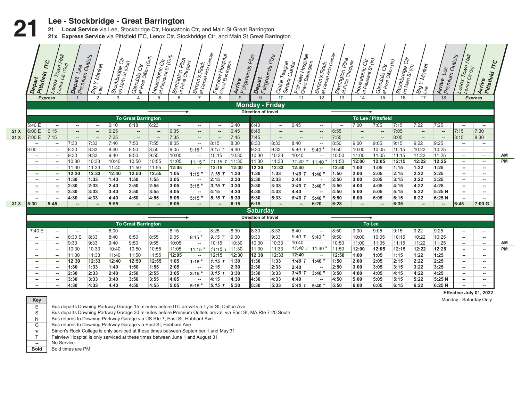| 17C<br>Depart<br>Pittsfield<br><b>Express</b><br>5:40 E<br>6:15<br>3:00E<br>21X<br>7:15<br>7:00 E<br>21X<br>8:00<br>$\overline{\phantom{a}}$ | Lenox Town Hall<br>Lenox Ctr (Out)                  | <b>Depart</b> Lee<br>Premium Outlets                 | Y Market<br>$\frac{\partial \mathcal{G}}{\partial \mathcal{G}}$<br>2 | $\begin{bmatrix} Glen_{Gale} & G_{tr} \ H1 & P_{Ost} & G_{ff} & G_{tr} \end{bmatrix}$<br>$\left.\begin{array}{l} {\rm St}_{O{\cal C}{\cal C}{\cal N}}{\rm tr}_{G{\cal C}{\cal G}}\\ {\rm Im}\,{\cal H}_{\rm aln}\, {\rm Sr}\,{\rm G}{\cal G}{\cal G}{\cal G} \end{array}\right.$ | <i>Housatonic Ctr</i><br>at Pleasant St (Out) | $\frac{\left  \textit{Barr}_{\textit{in}}\textit{g}_{\textit{top}} \textit{p}_{\textit{Ic}_{\textit{eq}}} \right }{\left  \textit{at}\textit{P}_{\textit{rice}}\textit{C}_{\textit{hop}}\textit{p}_{\textit{eq}} \right }$ | Simon's Rock<br>  <sup>at Daniel Arts Center</sup>   | Fairview Hospital<br>  <sup>Great Barrington</sup>   |                                    |                                   |                                              |                                      |                                                      |                                                    |                                         |                                                                          |                                     |                          |                               |                                  |                                                        |    |
|----------------------------------------------------------------------------------------------------------------------------------------------|-----------------------------------------------------|------------------------------------------------------|----------------------------------------------------------------------|----------------------------------------------------------------------------------------------------------------------------------------------------------------------------------------------------------------------------------------------------------------------------------|-----------------------------------------------|----------------------------------------------------------------------------------------------------------------------------------------------------------------------------------------------------------------------------|------------------------------------------------------|------------------------------------------------------|------------------------------------|-----------------------------------|----------------------------------------------|--------------------------------------|------------------------------------------------------|----------------------------------------------------|-----------------------------------------|--------------------------------------------------------------------------|-------------------------------------|--------------------------|-------------------------------|----------------------------------|--------------------------------------------------------|----|
|                                                                                                                                              |                                                     |                                                      |                                                                      |                                                                                                                                                                                                                                                                                  |                                               |                                                                                                                                                                                                                            |                                                      |                                                      | A <b>rrive</b><br>Fairgrounds Plza | <b>Depart</b><br>Fairgrounds Plza | Claire Teague<br> Senior Center              | Fairview Hospital                    | Simon's Rock<br>Pariel Arts Center                   | Barrington Plza<br><sup>    at Price Chopper</sup> | Housatonic Ctr<br>  at Pleasant St (In) | $\left \frac{G$ fendale Ctr $\left a t \right _{\text{Ost}}$ Office (In) | Stockbridge<br> on Main St (In)<br> | Y Market<br>8,91         | Arrive Lee<br>Premium Outlets | Lenox Town Hall                  | Arrive<br>Pittsfield ITC                               |    |
|                                                                                                                                              |                                                     |                                                      |                                                                      | 3                                                                                                                                                                                                                                                                                | 5                                             | 6                                                                                                                                                                                                                          |                                                      | 8                                                    | 9                                  |                                   | 10                                           | 11                                   | 12                                                   | 13                                                 | 14                                      | 15                                                                       | 16                                  | 17                       | 18                            |                                  | <b>Express</b>                                         |    |
|                                                                                                                                              |                                                     |                                                      |                                                                      |                                                                                                                                                                                                                                                                                  |                                               |                                                                                                                                                                                                                            |                                                      |                                                      |                                    | <b>Monday - Friday</b>            |                                              |                                      |                                                      |                                                    |                                         |                                                                          |                                     |                          |                               |                                  |                                                        |    |
|                                                                                                                                              |                                                     |                                                      |                                                                      |                                                                                                                                                                                                                                                                                  |                                               |                                                                                                                                                                                                                            |                                                      |                                                      |                                    | <b>Direction of travel</b>        |                                              |                                      |                                                      |                                                    |                                         |                                                                          |                                     |                          |                               |                                  |                                                        |    |
|                                                                                                                                              |                                                     |                                                      | 6:10                                                                 | <b>To Great Barrington</b><br>6:18                                                                                                                                                                                                                                               | 6:23                                          |                                                                                                                                                                                                                            |                                                      |                                                      | 6:40                               | 6:40                              |                                              | 6:45                                 |                                                      |                                                    | 7:00                                    | To Lee / Pittsfield<br>7:05                                              | 7:15                                | 7:22                     |                               |                                  |                                                        |    |
|                                                                                                                                              | $\overline{\phantom{a}}$                            | $\overline{\phantom{a}}$<br>$\overline{\phantom{a}}$ | $\overline{\phantom{a}}$<br>6:25<br>$\overline{\phantom{a}}$         | $\overline{\phantom{a}}$                                                                                                                                                                                                                                                         | $\overline{\phantom{a}}$                      | $\overline{\phantom{a}}$<br>6:35                                                                                                                                                                                           | $\overline{\phantom{a}}$<br>$\overline{\phantom{a}}$ | $\overline{\phantom{a}}$<br>$\overline{\phantom{a}}$ | 6:45                               | 6:45                              | $\hspace{0.05cm} -\hspace{0.05cm}$<br>$\sim$ | $\overline{\phantom{a}}$             | $\overline{\phantom{a}}$<br>$\overline{\phantom{m}}$ | $\overline{\phantom{a}}$<br>6:55                   | $\overline{\phantom{a}}$                | $\overline{\phantom{a}}$                                                 | 7:05                                | $\overline{\phantom{a}}$ | 7:25<br>$\hspace{0.05cm} -$   | $\overline{\phantom{a}}$<br>7:15 | $\hspace{0.1mm}-\hspace{0.1mm}-\hspace{0.1mm}$<br>7:30 |    |
|                                                                                                                                              |                                                     | $\overline{\phantom{a}}$                             | 7:25<br>$\overline{\phantom{a}}$                                     | $\overline{\phantom{a}}$                                                                                                                                                                                                                                                         |                                               | 7:35                                                                                                                                                                                                                       | $\overline{\phantom{a}}$                             | $\overline{\phantom{a}}$                             | 7:45                               | 7:45                              | $\overline{\phantom{a}}$                     | $\overline{\phantom{a}}$             | $\overline{\phantom{a}}$                             | 7:55                                               | $\overline{\phantom{a}}$                | $\sim$                                                                   | 8:05                                | $\overline{\phantom{a}}$ | $\overline{\phantom{a}}$      | 8:15                             | 8:30                                                   |    |
|                                                                                                                                              | $\hspace{0.05cm} -\hspace{0.05cm}$                  | 7:30                                                 | 7:33<br>7:40                                                         | 7:50                                                                                                                                                                                                                                                                             | 7:55                                          | 8:05                                                                                                                                                                                                                       | $\overline{\phantom{a}}$                             | 8:15                                                 | 8:30                               | 8:30                              | 8:33                                         | 8:40                                 | $\sim$                                               | 8:50                                               | 9:00                                    | 9:05                                                                     | 9:15                                | 9:22                     | 9:25                          | $\overline{\phantom{a}}$         | $\overline{\phantom{a}}$                               |    |
|                                                                                                                                              | $\hspace{0.05cm} -\hspace{0.05cm} -\hspace{0.05cm}$ | 8:30                                                 | 8:33<br>8:40                                                         | 8:50                                                                                                                                                                                                                                                                             | 8:55                                          | 9:05                                                                                                                                                                                                                       | 9:15*                                                | $9:15$ T                                             | 9:30                               | 9:30                              | 9:33                                         | $9:40$ T                             | 9:40'                                                | 9:50                                               | 10:00                                   | 10:05                                                                    | 10:15                               | 10:22                    | 10:25                         | $\overline{\phantom{a}}$         | $\hspace{0.05cm} -\hspace{0.05cm} -\hspace{0.05cm}$    |    |
|                                                                                                                                              | $\overline{\phantom{a}}$                            | 9:30                                                 | 9:33<br>9:40                                                         | 9:50                                                                                                                                                                                                                                                                             | 9:55                                          | 10:05                                                                                                                                                                                                                      | $\overline{\phantom{a}}$                             | 10:15                                                | 10:30                              | 10:30                             | 10:33                                        | 10:40                                | $\sim$                                               | 10:50                                              | 11:00                                   | 11:05                                                                    | 11:15                               | 11:22                    | 11:25                         | $\overline{\phantom{a}}$         | $\hspace{0.05cm} -\hspace{0.05cm} -\hspace{0.05cm}$    | AM |
|                                                                                                                                              | $\overline{\phantom{a}}$                            | 10:30                                                | 10:33                                                                | 10:40<br>10:50                                                                                                                                                                                                                                                                   | 10:55                                         | 11:05                                                                                                                                                                                                                      | 11:15 *                                              | $11:15$ T 11:30                                      |                                    | 11:30                             | 11:33                                        | $11:40$ T 11:40                      |                                                      | 11:50                                              | 12:00                                   | 12:05                                                                    | 12:15                               | 12:22                    | 12:25                         | $\overline{\phantom{a}}$         | $\overline{\phantom{a}}$                               | PM |
| $\overline{\phantom{a}}$                                                                                                                     | $\hspace{0.05cm} \ldots$                            | 11:30                                                | 11:33                                                                | 11:40<br>11:50                                                                                                                                                                                                                                                                   | 11:55                                         | 12:05                                                                                                                                                                                                                      | $\overline{\phantom{a}}$                             | 12:15                                                | 12:30                              | 12:30                             | 12:33                                        | 12:40                                | $\sim$                                               | 12:50                                              | $\left 1:00\right\rangle$               | 1:05                                                                     | 1:15                                | 1:22                     | 1:25                          | $\sim$                           | $\sim$                                                 |    |
|                                                                                                                                              | $\sim$                                              | 12:30                                                | 12:33                                                                | 12:40<br>12:50                                                                                                                                                                                                                                                                   | 12:55                                         | 1:05                                                                                                                                                                                                                       | $1:15*$                                              | $1:15$ T                                             | 1:30                               | 1:30                              | 1:33                                         | $1:40$ T                             | $1:40*$                                              | 1:50                                               | 2:00                                    | 2:05                                                                     | 2:15                                | 2:22                     | 2:25                          | $\sim$                           | $\overline{\phantom{a}}$                               |    |
| $\sim$                                                                                                                                       | $\sim$                                              | 1:30                                                 | 1:33<br>1:40                                                         | 1:50                                                                                                                                                                                                                                                                             | 1:55                                          | 2:05                                                                                                                                                                                                                       | $\sim$                                               | 2:15                                                 | 2:30                               | 2:30                              | 2:33                                         | 2:40                                 | $\overline{\phantom{a}}$                             | 2:50                                               | 3:00                                    | 3:05                                                                     | 3:15                                | 3:22                     | 3:25                          | $\sim$                           | $\sim$                                                 |    |
|                                                                                                                                              | $\sim$                                              | 2:30                                                 | 2:40<br>2:33                                                         | 2:50                                                                                                                                                                                                                                                                             | 2:55                                          | 3:05                                                                                                                                                                                                                       | $3:15*$                                              | $3:15$ T                                             | 3:30                               | 3:30                              | 3:33                                         | $3:40$ T                             | $3:40*$                                              | 3:50                                               | 4:00                                    | 4:05                                                                     | 4:15                                | 4:22                     | 4:25                          | $\sim$                           | $\sim$                                                 |    |
|                                                                                                                                              | $\sim$                                              | 3:30<br>4:30                                         | 3:33<br>3:40<br>4:33<br>4:40                                         | 3:50<br>4:50                                                                                                                                                                                                                                                                     | 3:55<br>4:55                                  | 4:05                                                                                                                                                                                                                       | $\overline{\phantom{a}}$                             | 4:15                                                 | 4:30<br>5:30                       | 4:30<br>5:30                      | 4:33<br>5:33                                 | 4:40                                 | $\overline{\phantom{a}}$                             | 4:50<br>5:50                                       | 5:00<br>6:00                            | 5:05                                                                     | 5:15<br>6:15                        | 5:22<br>6:22             | 5:25 N<br>6:25N               | $\sim$                           | $\sim$                                                 |    |
| 21X<br>5:45<br>5:30                                                                                                                          | $\overline{\phantom{a}}$                            |                                                      | 5:55<br>$\overline{\phantom{a}}$                                     | --                                                                                                                                                                                                                                                                               |                                               | 5:05<br>6:05                                                                                                                                                                                                               | $5:15*$                                              | $5:15$ T<br>$\overline{\phantom{a}}$                 | 6:15                               | 6:15                              |                                              | $5:40$ T<br>$\overline{\phantom{a}}$ | 5:40<br>6:20                                         | 6:28                                               |                                         | 6:05                                                                     | 6:35                                |                          | $\overline{\phantom{a}}$      | $\overline{\phantom{a}}$<br>6:45 | $\sim$<br>7:00 G                                       |    |
|                                                                                                                                              |                                                     |                                                      |                                                                      |                                                                                                                                                                                                                                                                                  |                                               |                                                                                                                                                                                                                            |                                                      |                                                      |                                    | <b>Saturday</b>                   |                                              |                                      |                                                      |                                                    |                                         |                                                                          |                                     |                          |                               |                                  |                                                        |    |
|                                                                                                                                              |                                                     |                                                      |                                                                      |                                                                                                                                                                                                                                                                                  |                                               |                                                                                                                                                                                                                            |                                                      |                                                      |                                    | <b>Direction of travel</b>        |                                              |                                      |                                                      |                                                    |                                         |                                                                          |                                     |                          |                               |                                  |                                                        |    |
|                                                                                                                                              |                                                     |                                                      |                                                                      | <b>To Great Barrington</b>                                                                                                                                                                                                                                                       |                                               |                                                                                                                                                                                                                            |                                                      |                                                      |                                    |                                   |                                              |                                      |                                                      |                                                    | <b>To Lee</b>                           |                                                                          |                                     |                          |                               |                                  |                                                        |    |
| 7:40 E                                                                                                                                       | $\overline{\phantom{a}}$                            | $\overline{\phantom{a}}$                             | 8:00<br>$\overline{\phantom{a}}$                                     | $\overline{\phantom{a}}$                                                                                                                                                                                                                                                         | $\overline{\phantom{a}}$                      | 8:15                                                                                                                                                                                                                       | $\overline{\phantom{a}}$                             | 8:25                                                 | 8:30                               | 8:30                              | 8:33                                         | 8:40                                 | $\overline{\phantom{a}}$                             | 8:50                                               | 9:00                                    | 9:05                                                                     | 9:15                                | 9:22                     | 9:25                          | $\hspace{0.05cm} \ldots$         | $\overline{\phantom{a}}$                               |    |
| $\overline{\phantom{a}}$                                                                                                                     | $\overline{\phantom{a}}$                            | 8:30 S                                               | 8:33<br>8:40                                                         | 8:50                                                                                                                                                                                                                                                                             | 8:55                                          | 9:05                                                                                                                                                                                                                       | $9:15*$                                              | $9:15$ T                                             | 9:30                               | 9:30                              | 9:33                                         | $9:40$ T                             | 9:40'                                                | 9:50                                               | 10:00                                   | 10:05                                                                    | 10:15                               | 10:22                    | 10:25                         | $-$                              | $\overline{\phantom{a}}$                               |    |
| $\overline{\phantom{a}}$                                                                                                                     | $\overline{\phantom{a}}$                            | 9:30                                                 | 9:33<br>9:40                                                         | 9:50                                                                                                                                                                                                                                                                             | 9:55                                          | 10:05                                                                                                                                                                                                                      | $\overline{\phantom{a}}$                             | 10:15                                                | 10:30                              | 10:30                             | 10:33                                        | 10:40                                | $\overline{\phantom{a}}$                             | 10:50                                              | 11:00                                   | 11:05                                                                    | 11:15                               | 11:22                    | 11:25                         | $\overline{\phantom{a}}$         | $\overline{\phantom{a}}$                               | AM |
| $\hspace{0.05cm} -$                                                                                                                          | $\overline{\phantom{a}}$                            | 10:30                                                | 10:33                                                                | 10:40<br>10:50                                                                                                                                                                                                                                                                   | 10:55                                         | 11:05                                                                                                                                                                                                                      | 11:15 *                                              | $11:15 \t T$ 11:30                                   |                                    | 11:30                             | 11:33                                        | $11:40$ T 11:40                      |                                                      | 11:50                                              | 12:00                                   | 12:05                                                                    | 12:15                               | 12:22                    | 12:25                         | $\sim$                           | $\sim$                                                 | PM |
|                                                                                                                                              | $\overline{\phantom{a}}$                            | 11:30                                                | 11:33                                                                | 11:40<br>11:50                                                                                                                                                                                                                                                                   | 11:55                                         | 12:05                                                                                                                                                                                                                      | $\sim$                                               | 12:15                                                | 12:30                              | 12:30                             | 12:33                                        | 12:40                                | $\sim$                                               | 12:50                                              | 1:00                                    | 1:05                                                                     | 1:15                                | 1:22                     | 1:25                          | н.                               | ۰.                                                     |    |
| $\overline{\phantom{a}}$                                                                                                                     | $\sim$                                              | 12:30                                                | 12:33                                                                | 12:40<br>12:50                                                                                                                                                                                                                                                                   | 12:55                                         | 1:05                                                                                                                                                                                                                       | $1:15*$                                              | $1:15$ T                                             | 1:30                               | 1:30                              | 1:33                                         | $1:40$ T                             | $1:40*$                                              | 1:50                                               | 2:00                                    | 2:05                                                                     | 2:15                                | 2:22                     | 2:25                          | $\sim$                           | $\sim$                                                 |    |
|                                                                                                                                              | $\sim$                                              | 1:30                                                 | 1:33<br>1:40                                                         | 1:50                                                                                                                                                                                                                                                                             | 1:55                                          | 2:05                                                                                                                                                                                                                       | $\sim$                                               | 2:15                                                 | 2:30                               | 2:30                              | 2:33                                         | 2:40                                 | $\sim$                                               | 2:50                                               | 3:00                                    | 3:05                                                                     | 3:15                                | 3:22                     | 3:25                          | --                               | $\sim$                                                 |    |
| $-$                                                                                                                                          | $\overline{\phantom{a}}$                            | 2:30                                                 | 2:33<br>2:40                                                         | 2:50                                                                                                                                                                                                                                                                             | 2:55                                          | 3:05                                                                                                                                                                                                                       | $3:15*$                                              | $3:15$ T                                             | 3:30                               | 3:30                              | 3:33                                         | $3:40$ T                             | $3:40*$                                              | 3:50                                               | 4:00                                    | 4:05                                                                     | 4:15                                | 4:22                     | 4:25                          | $\overline{\phantom{a}}$         | $\sim$                                                 |    |
| $\sim$                                                                                                                                       |                                                     | 3:30<br>4:30                                         | 3:33<br>3:40<br>4:33<br>4:40                                         | 3:50<br>4:50                                                                                                                                                                                                                                                                     | 3:55<br>4:55                                  | 4:05<br>5:05                                                                                                                                                                                                               | н.                                                   | 4:15                                                 | 4:30<br>5:30                       | 4:30<br>5:30                      | 4:33<br>5:33                                 | 4:40                                 | $\overline{\phantom{a}}$                             | 4:50                                               | 5:00                                    | 5:05                                                                     | 5:15                                | 5:22                     | 5:25 N                        | $\sim$                           | $\overline{\phantom{a}}$                               |    |
| $\sim$                                                                                                                                       | $\sim$                                              |                                                      |                                                                      |                                                                                                                                                                                                                                                                                  |                                               |                                                                                                                                                                                                                            | $5:15*$                                              | $5:15$ T                                             |                                    |                                   |                                              | $5:40$ T                             | $5:40*$                                              | 5:50                                               | 6:00                                    | 6:05                                                                     | 6:15                                | 6:22                     | 6:25N                         |                                  | $\sim$                                                 |    |

Monday - Saturday Only

**Key** Bus departs Downing Parkway Garage 15 minutes before ITC arrival via Tyler St, Dalton Ave

S Bus departs Downing Parkway Garage 30 minutes before Premium Outlets arrival, via East St, MA Rte 7-20 South

Bus returns to Downing Parkway Garage via US Rte 7, East St, Hubbard Ave

 $rac{G}{*}$ Bus returns to Downing Parkway Garage via East St, Hubbard Ave

Simon's Rock College is only serviced at these times between September 1 and May 31

Fairview Hospital is only serviced at these times between June 1 and August 31

**-- Bold** No Service Bold times are PM

 $\overline{E}$ 

N

 $T$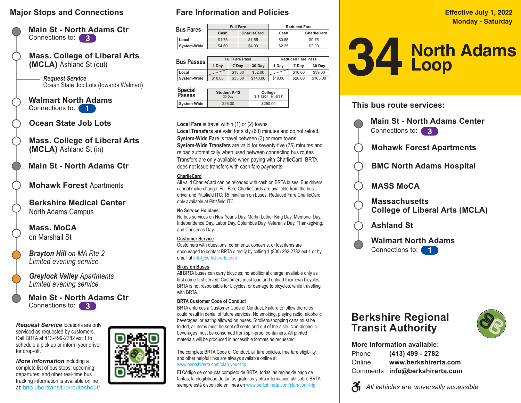**Main St - North Adams Ctr** Connections to: **3**

### **Mass. College of Liberal Arts (MCLA)** Ashland St (out)

#### *Request Service*  Ocean State Job Lots (towards Walmart)

**1** Connections to: **Walmart North Adams**

**Ocean State Job Lots**

**Mass. College of Liberal Arts (MCLA)** Ashland St (in)

**Main St - North Adams Ctr**

**Mohawk Forest** Apartments

**Berkshire Medical Center** North Adams Campus

**Mass. MoCA** on Marshall St

*Brayton Hill on MA Rte 2 Limited evening service*

*Greylock Valley Apartments Limited evening service*

**Main St - North Adams Ctr** Connections to: **3**

*Request Service* locations are only serviced as requested by customers. Call BRTA at 413-499-2782 ext 1 to schedule a pick up or inform your driver for drop-off.

*More Information* including a complete list of bus stops, upcoming departures, and other real-time bus tracking information is available online at: brta.ubertransit.io/routeshout/



# **Fare Information and Policies**

| <b>Bus Fares</b> |                     | <b>Full Fare</b> | <b>Reduced Fare</b> |             |  |  |  |
|------------------|---------------------|------------------|---------------------|-------------|--|--|--|
|                  | CharlieCard<br>Cash |                  | Cash                | CharlieCard |  |  |  |
| Local            | \$1.75              | \$1.55           | \$0.85              | \$0.75      |  |  |  |
| System-Wide      | \$4.50              | \$4.00           | \$2.25              | \$2.00      |  |  |  |

| <b>Bus Passes</b> |         | <b>Full Fare Pass</b> |          | <b>Reduced Fare Pass</b> |         |          |  |  |
|-------------------|---------|-----------------------|----------|--------------------------|---------|----------|--|--|
|                   | 1 Dav   | 7 Dav                 | 30 Day   | 1 Dav                    | 7 Dav   | 30 Dav   |  |  |
| Local             |         | \$13.00               | \$52.00  |                          | \$10.00 | \$39.00  |  |  |
| System-Wide       | \$10.00 | \$35.00               | \$140.00 | \$10.00                  | \$26.00 | \$105.00 |  |  |

| <b>Special</b> | <b>Student K-12</b> | College               |
|----------------|---------------------|-----------------------|
| <b>Passes</b>  | 30 Day              | (8/1-12/31; 1/1-5/31) |
| System-Wide    | \$26.00             | \$250.00              |

**Local Fare** is travel within (1) or (2) towns.

**Local Transfers** are valid for sixty (60) minutes and do not reload. **System-Wide Fare** is travel between (3) or more towns. **System-Wide Transfers** are valid for seventy-five (75) minutes and reload automatically when used between connecting bus routes. Transfers are only available when paying with CharlieCard. BRTA does not issue transfers with cash fare payments.

#### **CharlieCard**

All valid CharlieCard can be reloaded with cash on BRTA buses. Bus drivers cannot make change. Full Fare CharlieCards are available from the bus driver and Pittsfield ITC; \$5 minimum on buses. Reduced Fare CharlieCard only available at Pittsfield ITC.

#### **No Service Holidays**

No bus services on New Year's Day, Martin Luther King Day, Memorial Day, Independence Day, Labor Day, Columbus Day, Veteran's Day, Thanksgiving, and Christmas Day.

#### **Customer Service**

Customers with questions, comments, concerns, or lost items are encouraged to contact BRTA directly by calling 1 (800) 292-2782 ext 1 or by email at info@berkshirerta.com

#### **Bikes on Buses**

All BRTA buses can carry bicycles; no additional charge, available only as first come-first served. Customers must load and unload their own bicycles. BRTA is not responsible for bicycles, or damage to bicycles, while travelling with BRTA.

#### **BRTA Customer Code of Conduct**

BRTA enforces a Customer Code of Conduct. Failure to follow the rules could result in denial of future services. No smoking, playing radio, alcoholic beverages, or eating allowed on buses. Strollers/shopping carts must be folded, all items must be kept off seats and out of the aisle. Non-alcoholic beverages must be consumed from spill-proof containers. All printed materials will be produced in accessible formats as requested.

The complete BRTA Code of Conduct, all fare policies, free fare eligibility, and other helpful links are always available online at www.berkshirerta.com/plan-your-trip

El Código de conducta completo de BRTA, todas las reglas de pago de tarifas, la elegibilidad de tarifas gratuitas y otra información útil sobre BRTA siempre está disponible en línea en www.berkshirerta.com/plan-your-trip

### **Effective July 1, 2022 Monday - Saturday**



**This bus route services:**



# **Berkshire Regional Transit Authority**



| Phone  | $(413)$ 499 - 2782             |
|--------|--------------------------------|
| Online | www.berkshirerta.com           |
|        | Comments info@berkshirerta.com |